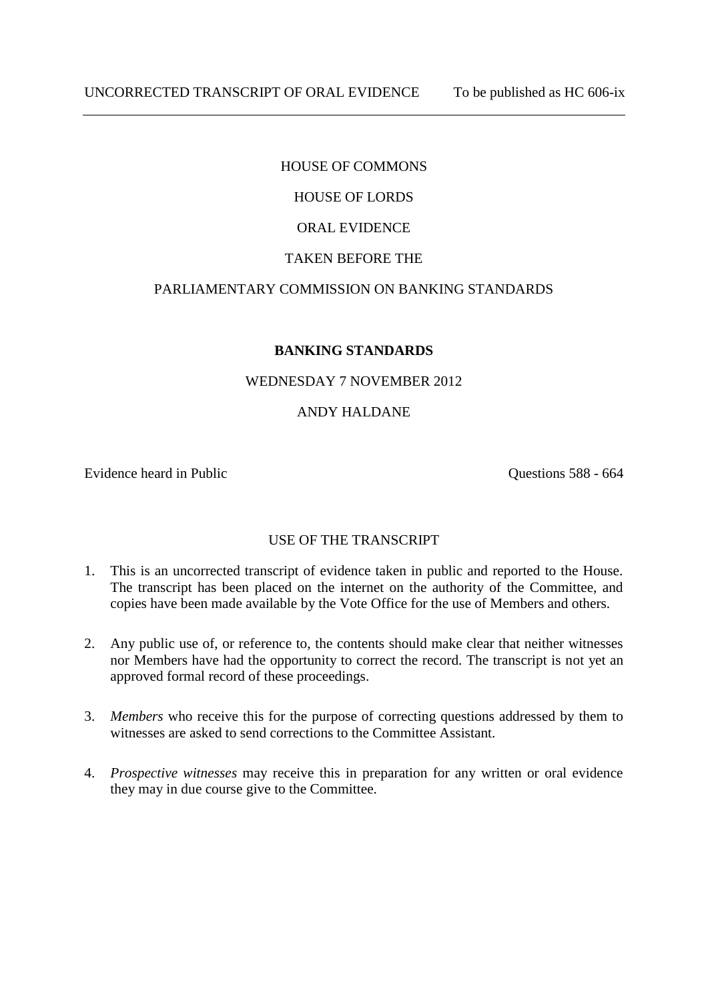## HOUSE OF COMMONS

# HOUSE OF LORDS

## ORAL EVIDENCE

## TAKEN BEFORE THE

## PARLIAMENTARY COMMISSION ON BANKING STANDARDS

## **BANKING STANDARDS**

## WEDNESDAY 7 NOVEMBER 2012

## ANDY HALDANE

Evidence heard in Public Questions 588 - 664

## USE OF THE TRANSCRIPT

- 1. This is an uncorrected transcript of evidence taken in public and reported to the House. The transcript has been placed on the internet on the authority of the Committee, and copies have been made available by the Vote Office for the use of Members and others.
- 2. Any public use of, or reference to, the contents should make clear that neither witnesses nor Members have had the opportunity to correct the record. The transcript is not yet an approved formal record of these proceedings.
- 3. *Members* who receive this for the purpose of correcting questions addressed by them to witnesses are asked to send corrections to the Committee Assistant.
- 4. *Prospective witnesses* may receive this in preparation for any written or oral evidence they may in due course give to the Committee.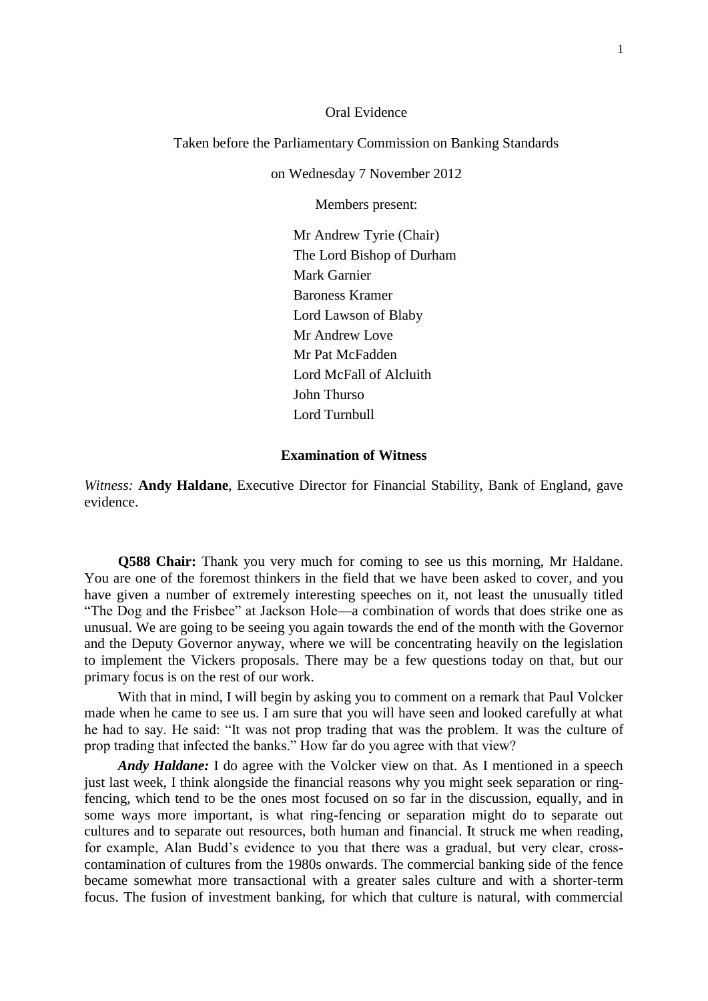### Oral Evidence

### Taken before the Parliamentary Commission on Banking Standards

on Wednesday 7 November 2012

Members present:

Mr Andrew Tyrie (Chair) The Lord Bishop of Durham Mark Garnier Baroness Kramer Lord Lawson of Blaby Mr Andrew Love Mr Pat McFadden Lord McFall of Alcluith John Thurso Lord Turnbull

## **Examination of Witness**

*Witness:* **Andy Haldane**, Executive Director for Financial Stability, Bank of England, gave evidence.

**Q588 Chair:** Thank you very much for coming to see us this morning, Mr Haldane. You are one of the foremost thinkers in the field that we have been asked to cover, and you have given a number of extremely interesting speeches on it, not least the unusually titled "The Dog and the Frisbee" at Jackson Hole—a combination of words that does strike one as unusual. We are going to be seeing you again towards the end of the month with the Governor and the Deputy Governor anyway, where we will be concentrating heavily on the legislation to implement the Vickers proposals. There may be a few questions today on that, but our primary focus is on the rest of our work.

With that in mind, I will begin by asking you to comment on a remark that Paul Volcker made when he came to see us. I am sure that you will have seen and looked carefully at what he had to say. He said: "It was not prop trading that was the problem. It was the culture of prop trading that infected the banks." How far do you agree with that view?

*Andy Haldane:* I do agree with the Volcker view on that. As I mentioned in a speech just last week, I think alongside the financial reasons why you might seek separation or ringfencing, which tend to be the ones most focused on so far in the discussion, equally, and in some ways more important, is what ring-fencing or separation might do to separate out cultures and to separate out resources, both human and financial. It struck me when reading, for example, Alan Budd's evidence to you that there was a gradual, but very clear, crosscontamination of cultures from the 1980s onwards. The commercial banking side of the fence became somewhat more transactional with a greater sales culture and with a shorter-term focus. The fusion of investment banking, for which that culture is natural, with commercial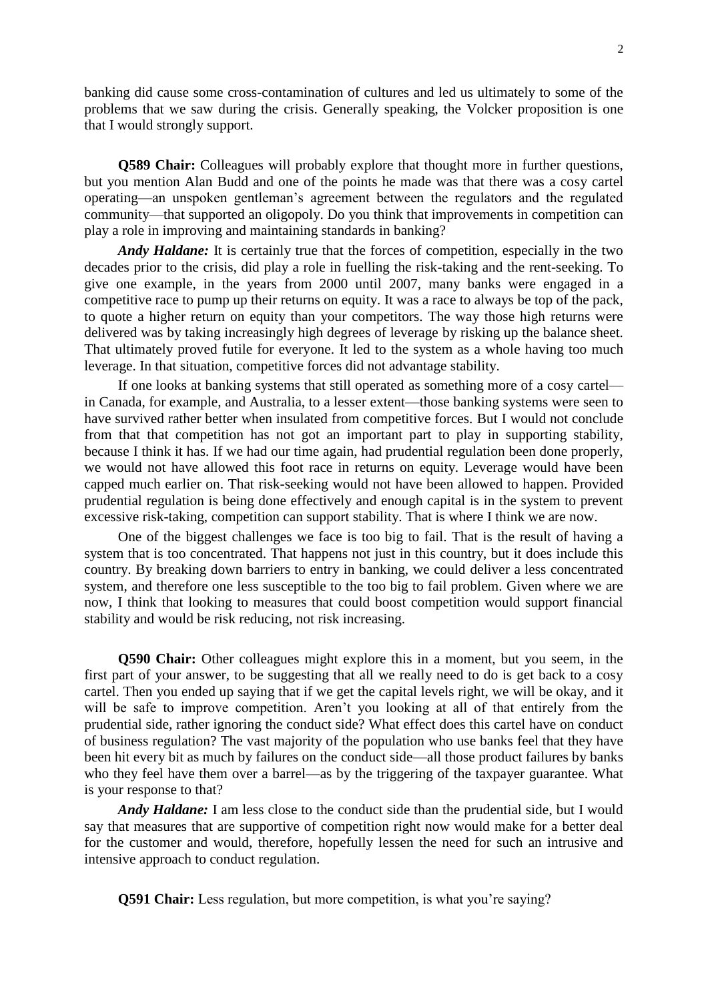banking did cause some cross-contamination of cultures and led us ultimately to some of the problems that we saw during the crisis. Generally speaking, the Volcker proposition is one that I would strongly support.

**Q589 Chair:** Colleagues will probably explore that thought more in further questions, but you mention Alan Budd and one of the points he made was that there was a cosy cartel operating—an unspoken gentleman's agreement between the regulators and the regulated community—that supported an oligopoly. Do you think that improvements in competition can play a role in improving and maintaining standards in banking?

*Andy Haldane:* It is certainly true that the forces of competition, especially in the two decades prior to the crisis, did play a role in fuelling the risk-taking and the rent-seeking. To give one example, in the years from 2000 until 2007, many banks were engaged in a competitive race to pump up their returns on equity. It was a race to always be top of the pack, to quote a higher return on equity than your competitors. The way those high returns were delivered was by taking increasingly high degrees of leverage by risking up the balance sheet. That ultimately proved futile for everyone. It led to the system as a whole having too much leverage. In that situation, competitive forces did not advantage stability.

If one looks at banking systems that still operated as something more of a cosy cartel in Canada, for example, and Australia, to a lesser extent—those banking systems were seen to have survived rather better when insulated from competitive forces. But I would not conclude from that that competition has not got an important part to play in supporting stability, because I think it has. If we had our time again, had prudential regulation been done properly, we would not have allowed this foot race in returns on equity. Leverage would have been capped much earlier on. That risk-seeking would not have been allowed to happen. Provided prudential regulation is being done effectively and enough capital is in the system to prevent excessive risk-taking, competition can support stability. That is where I think we are now.

One of the biggest challenges we face is too big to fail. That is the result of having a system that is too concentrated. That happens not just in this country, but it does include this country. By breaking down barriers to entry in banking, we could deliver a less concentrated system, and therefore one less susceptible to the too big to fail problem. Given where we are now, I think that looking to measures that could boost competition would support financial stability and would be risk reducing, not risk increasing.

**Q590 Chair:** Other colleagues might explore this in a moment, but you seem, in the first part of your answer, to be suggesting that all we really need to do is get back to a cosy cartel. Then you ended up saying that if we get the capital levels right, we will be okay, and it will be safe to improve competition. Aren't you looking at all of that entirely from the prudential side, rather ignoring the conduct side? What effect does this cartel have on conduct of business regulation? The vast majority of the population who use banks feel that they have been hit every bit as much by failures on the conduct side—all those product failures by banks who they feel have them over a barrel—as by the triggering of the taxpayer guarantee. What is your response to that?

*Andy Haldane:* I am less close to the conduct side than the prudential side, but I would say that measures that are supportive of competition right now would make for a better deal for the customer and would, therefore, hopefully lessen the need for such an intrusive and intensive approach to conduct regulation.

**Q591 Chair:** Less regulation, but more competition, is what you're saying?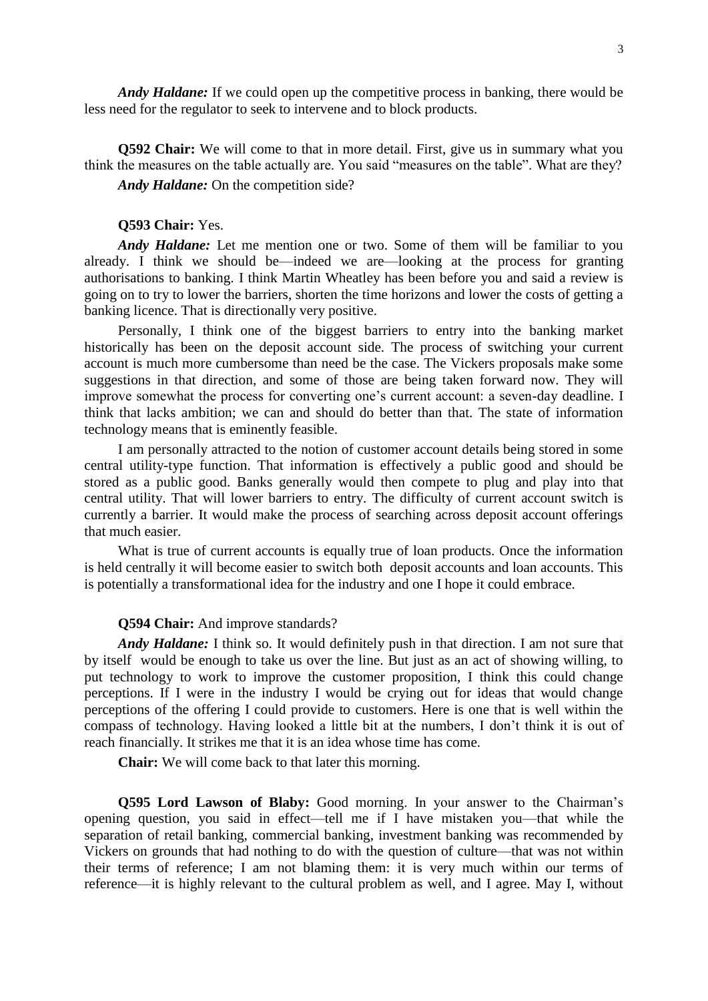*Andy Haldane:* If we could open up the competitive process in banking, there would be less need for the regulator to seek to intervene and to block products.

**Q592 Chair:** We will come to that in more detail. First, give us in summary what you think the measures on the table actually are. You said "measures on the table". What are they? *Andy Haldane:* On the competition side?

### **Q593 Chair:** Yes.

*Andy Haldane:* Let me mention one or two. Some of them will be familiar to you already. I think we should be—indeed we are—looking at the process for granting authorisations to banking. I think Martin Wheatley has been before you and said a review is going on to try to lower the barriers, shorten the time horizons and lower the costs of getting a banking licence. That is directionally very positive.

Personally, I think one of the biggest barriers to entry into the banking market historically has been on the deposit account side. The process of switching your current account is much more cumbersome than need be the case. The Vickers proposals make some suggestions in that direction, and some of those are being taken forward now. They will improve somewhat the process for converting one's current account: a seven-day deadline. I think that lacks ambition; we can and should do better than that. The state of information technology means that is eminently feasible.

I am personally attracted to the notion of customer account details being stored in some central utility-type function. That information is effectively a public good and should be stored as a public good. Banks generally would then compete to plug and play into that central utility. That will lower barriers to entry. The difficulty of current account switch is currently a barrier. It would make the process of searching across deposit account offerings that much easier.

What is true of current accounts is equally true of loan products. Once the information is held centrally it will become easier to switch both deposit accounts and loan accounts. This is potentially a transformational idea for the industry and one I hope it could embrace.

#### **Q594 Chair:** And improve standards?

*Andy Haldane:* I think so. It would definitely push in that direction. I am not sure that by itself would be enough to take us over the line. But just as an act of showing willing, to put technology to work to improve the customer proposition, I think this could change perceptions. If I were in the industry I would be crying out for ideas that would change perceptions of the offering I could provide to customers. Here is one that is well within the compass of technology. Having looked a little bit at the numbers, I don't think it is out of reach financially. It strikes me that it is an idea whose time has come.

**Chair:** We will come back to that later this morning.

**Q595 Lord Lawson of Blaby:** Good morning. In your answer to the Chairman's opening question, you said in effect—tell me if I have mistaken you—that while the separation of retail banking, commercial banking, investment banking was recommended by Vickers on grounds that had nothing to do with the question of culture—that was not within their terms of reference; I am not blaming them: it is very much within our terms of reference—it is highly relevant to the cultural problem as well, and I agree. May I, without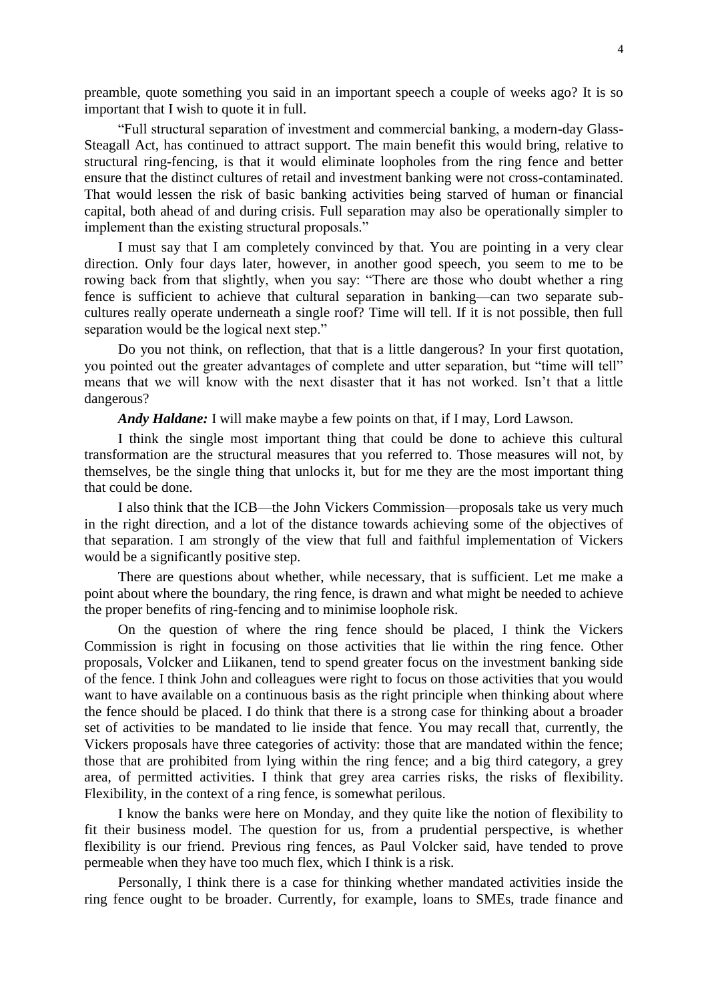preamble, quote something you said in an important speech a couple of weeks ago? It is so important that I wish to quote it in full.

"Full structural separation of investment and commercial banking, a modern-day Glass-Steagall Act, has continued to attract support. The main benefit this would bring, relative to structural ring-fencing, is that it would eliminate loopholes from the ring fence and better ensure that the distinct cultures of retail and investment banking were not cross-contaminated. That would lessen the risk of basic banking activities being starved of human or financial capital, both ahead of and during crisis. Full separation may also be operationally simpler to implement than the existing structural proposals."

I must say that I am completely convinced by that. You are pointing in a very clear direction. Only four days later, however, in another good speech, you seem to me to be rowing back from that slightly, when you say: "There are those who doubt whether a ring fence is sufficient to achieve that cultural separation in banking—can two separate subcultures really operate underneath a single roof? Time will tell. If it is not possible, then full separation would be the logical next step."

Do you not think, on reflection, that that is a little dangerous? In your first quotation, you pointed out the greater advantages of complete and utter separation, but "time will tell" means that we will know with the next disaster that it has not worked. Isn't that a little dangerous?

*Andy Haldane:* I will make maybe a few points on that, if I may, Lord Lawson.

I think the single most important thing that could be done to achieve this cultural transformation are the structural measures that you referred to. Those measures will not, by themselves, be the single thing that unlocks it, but for me they are the most important thing that could be done.

I also think that the ICB—the John Vickers Commission—proposals take us very much in the right direction, and a lot of the distance towards achieving some of the objectives of that separation. I am strongly of the view that full and faithful implementation of Vickers would be a significantly positive step.

There are questions about whether, while necessary, that is sufficient. Let me make a point about where the boundary, the ring fence, is drawn and what might be needed to achieve the proper benefits of ring-fencing and to minimise loophole risk.

On the question of where the ring fence should be placed, I think the Vickers Commission is right in focusing on those activities that lie within the ring fence. Other proposals, Volcker and Liikanen, tend to spend greater focus on the investment banking side of the fence. I think John and colleagues were right to focus on those activities that you would want to have available on a continuous basis as the right principle when thinking about where the fence should be placed. I do think that there is a strong case for thinking about a broader set of activities to be mandated to lie inside that fence. You may recall that, currently, the Vickers proposals have three categories of activity: those that are mandated within the fence; those that are prohibited from lying within the ring fence; and a big third category, a grey area, of permitted activities. I think that grey area carries risks, the risks of flexibility. Flexibility, in the context of a ring fence, is somewhat perilous.

I know the banks were here on Monday, and they quite like the notion of flexibility to fit their business model. The question for us, from a prudential perspective, is whether flexibility is our friend. Previous ring fences, as Paul Volcker said, have tended to prove permeable when they have too much flex, which I think is a risk.

Personally, I think there is a case for thinking whether mandated activities inside the ring fence ought to be broader. Currently, for example, loans to SMEs, trade finance and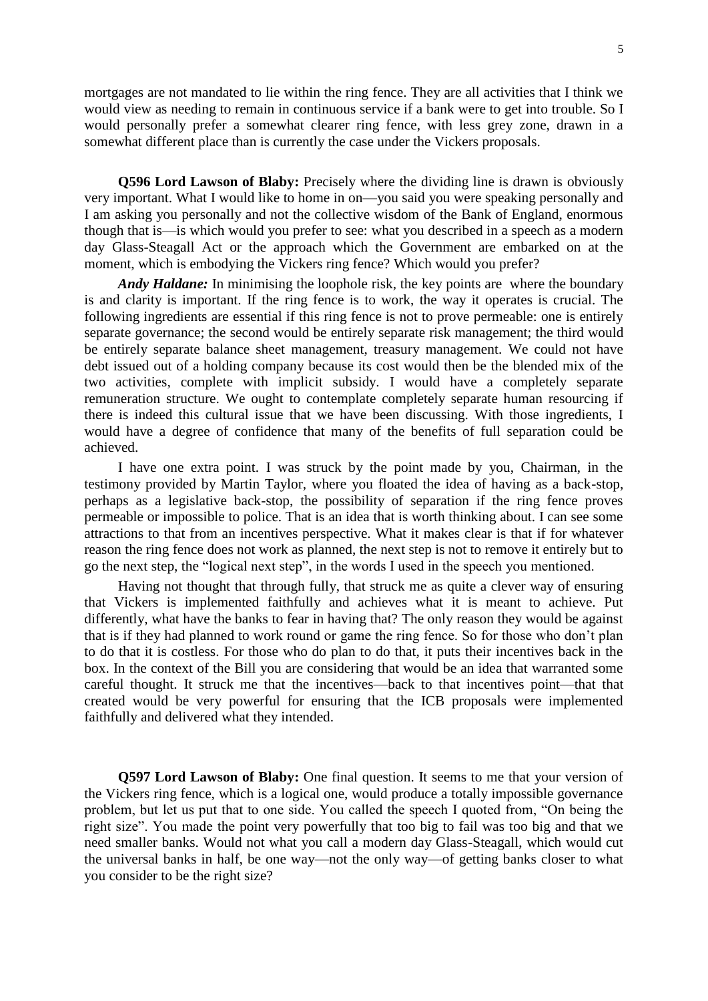mortgages are not mandated to lie within the ring fence. They are all activities that I think we would view as needing to remain in continuous service if a bank were to get into trouble. So I would personally prefer a somewhat clearer ring fence, with less grey zone, drawn in a somewhat different place than is currently the case under the Vickers proposals.

**Q596 Lord Lawson of Blaby:** Precisely where the dividing line is drawn is obviously very important. What I would like to home in on—you said you were speaking personally and I am asking you personally and not the collective wisdom of the Bank of England, enormous though that is—is which would you prefer to see: what you described in a speech as a modern day Glass-Steagall Act or the approach which the Government are embarked on at the moment, which is embodying the Vickers ring fence? Which would you prefer?

*Andy Haldane:* In minimising the loophole risk, the key points are where the boundary is and clarity is important. If the ring fence is to work, the way it operates is crucial. The following ingredients are essential if this ring fence is not to prove permeable: one is entirely separate governance; the second would be entirely separate risk management; the third would be entirely separate balance sheet management, treasury management. We could not have debt issued out of a holding company because its cost would then be the blended mix of the two activities, complete with implicit subsidy. I would have a completely separate remuneration structure. We ought to contemplate completely separate human resourcing if there is indeed this cultural issue that we have been discussing. With those ingredients, I would have a degree of confidence that many of the benefits of full separation could be achieved.

I have one extra point. I was struck by the point made by you, Chairman, in the testimony provided by Martin Taylor, where you floated the idea of having as a back-stop, perhaps as a legislative back-stop, the possibility of separation if the ring fence proves permeable or impossible to police. That is an idea that is worth thinking about. I can see some attractions to that from an incentives perspective. What it makes clear is that if for whatever reason the ring fence does not work as planned, the next step is not to remove it entirely but to go the next step, the "logical next step", in the words I used in the speech you mentioned.

Having not thought that through fully, that struck me as quite a clever way of ensuring that Vickers is implemented faithfully and achieves what it is meant to achieve. Put differently, what have the banks to fear in having that? The only reason they would be against that is if they had planned to work round or game the ring fence. So for those who don't plan to do that it is costless. For those who do plan to do that, it puts their incentives back in the box. In the context of the Bill you are considering that would be an idea that warranted some careful thought. It struck me that the incentives—back to that incentives point—that that created would be very powerful for ensuring that the ICB proposals were implemented faithfully and delivered what they intended.

**Q597 Lord Lawson of Blaby:** One final question. It seems to me that your version of the Vickers ring fence, which is a logical one, would produce a totally impossible governance problem, but let us put that to one side. You called the speech I quoted from, "On being the right size". You made the point very powerfully that too big to fail was too big and that we need smaller banks. Would not what you call a modern day Glass-Steagall, which would cut the universal banks in half, be one way—not the only way—of getting banks closer to what you consider to be the right size?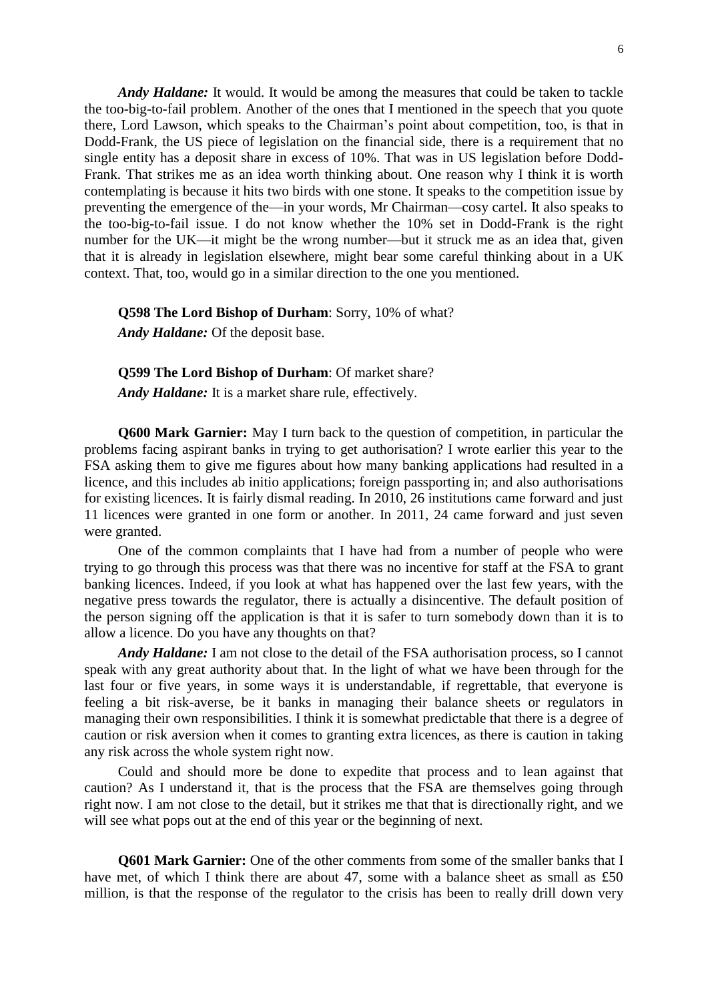*Andy Haldane:* It would. It would be among the measures that could be taken to tackle the too-big-to-fail problem. Another of the ones that I mentioned in the speech that you quote there, Lord Lawson, which speaks to the Chairman's point about competition, too, is that in Dodd-Frank, the US piece of legislation on the financial side, there is a requirement that no single entity has a deposit share in excess of 10%. That was in US legislation before Dodd-Frank. That strikes me as an idea worth thinking about. One reason why I think it is worth contemplating is because it hits two birds with one stone. It speaks to the competition issue by preventing the emergence of the—in your words, Mr Chairman—cosy cartel. It also speaks to the too-big-to-fail issue. I do not know whether the 10% set in Dodd-Frank is the right number for the UK—it might be the wrong number—but it struck me as an idea that, given that it is already in legislation elsewhere, might bear some careful thinking about in a UK context. That, too, would go in a similar direction to the one you mentioned.

### **Q598 The Lord Bishop of Durham**: Sorry, 10% of what?

*Andy Haldane:* Of the deposit base.

#### **Q599 The Lord Bishop of Durham**: Of market share?

*Andy Haldane:* It is a market share rule, effectively.

**Q600 Mark Garnier:** May I turn back to the question of competition, in particular the problems facing aspirant banks in trying to get authorisation? I wrote earlier this year to the FSA asking them to give me figures about how many banking applications had resulted in a licence, and this includes ab initio applications; foreign passporting in; and also authorisations for existing licences. It is fairly dismal reading. In 2010, 26 institutions came forward and just 11 licences were granted in one form or another. In 2011, 24 came forward and just seven were granted.

One of the common complaints that I have had from a number of people who were trying to go through this process was that there was no incentive for staff at the FSA to grant banking licences. Indeed, if you look at what has happened over the last few years, with the negative press towards the regulator, there is actually a disincentive. The default position of the person signing off the application is that it is safer to turn somebody down than it is to allow a licence. Do you have any thoughts on that?

*Andy Haldane:* I am not close to the detail of the FSA authorisation process, so I cannot speak with any great authority about that. In the light of what we have been through for the last four or five years, in some ways it is understandable, if regrettable, that everyone is feeling a bit risk-averse, be it banks in managing their balance sheets or regulators in managing their own responsibilities. I think it is somewhat predictable that there is a degree of caution or risk aversion when it comes to granting extra licences, as there is caution in taking any risk across the whole system right now.

Could and should more be done to expedite that process and to lean against that caution? As I understand it, that is the process that the FSA are themselves going through right now. I am not close to the detail, but it strikes me that that is directionally right, and we will see what pops out at the end of this year or the beginning of next.

**Q601 Mark Garnier:** One of the other comments from some of the smaller banks that I have met, of which I think there are about 47, some with a balance sheet as small as £50 million, is that the response of the regulator to the crisis has been to really drill down very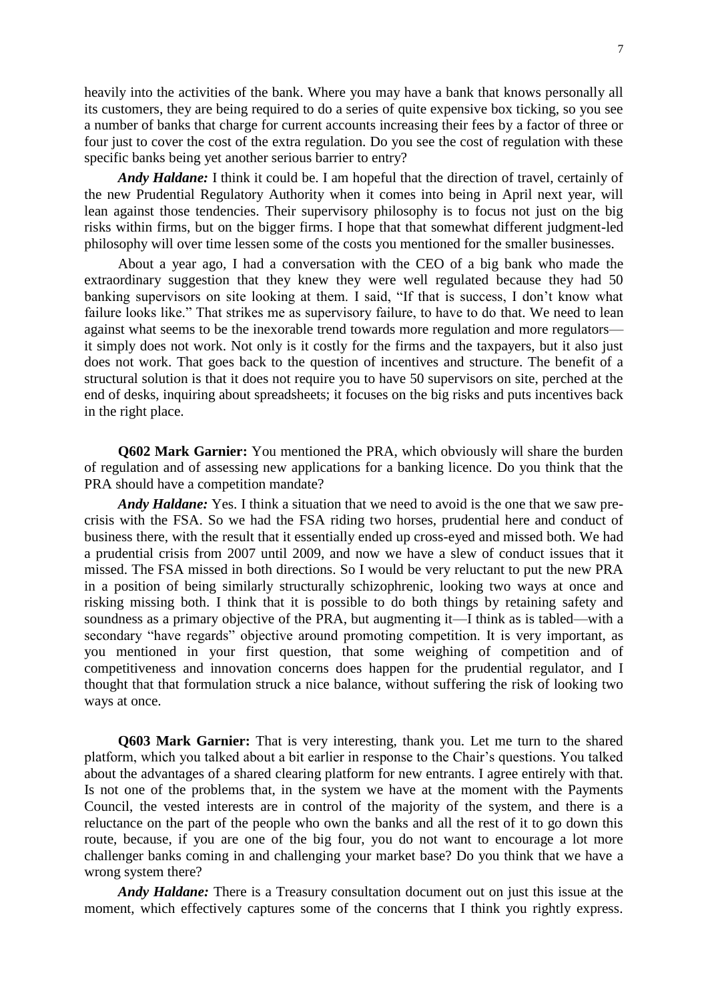heavily into the activities of the bank. Where you may have a bank that knows personally all its customers, they are being required to do a series of quite expensive box ticking, so you see a number of banks that charge for current accounts increasing their fees by a factor of three or four just to cover the cost of the extra regulation. Do you see the cost of regulation with these specific banks being yet another serious barrier to entry?

*Andy Haldane:* I think it could be. I am hopeful that the direction of travel, certainly of the new Prudential Regulatory Authority when it comes into being in April next year, will lean against those tendencies. Their supervisory philosophy is to focus not just on the big risks within firms, but on the bigger firms. I hope that that somewhat different judgment-led philosophy will over time lessen some of the costs you mentioned for the smaller businesses.

About a year ago, I had a conversation with the CEO of a big bank who made the extraordinary suggestion that they knew they were well regulated because they had 50 banking supervisors on site looking at them. I said, "If that is success, I don't know what failure looks like." That strikes me as supervisory failure, to have to do that. We need to lean against what seems to be the inexorable trend towards more regulation and more regulators it simply does not work. Not only is it costly for the firms and the taxpayers, but it also just does not work. That goes back to the question of incentives and structure. The benefit of a structural solution is that it does not require you to have 50 supervisors on site, perched at the end of desks, inquiring about spreadsheets; it focuses on the big risks and puts incentives back in the right place.

**Q602 Mark Garnier:** You mentioned the PRA, which obviously will share the burden of regulation and of assessing new applications for a banking licence. Do you think that the PRA should have a competition mandate?

*Andy Haldane:* Yes. I think a situation that we need to avoid is the one that we saw precrisis with the FSA. So we had the FSA riding two horses, prudential here and conduct of business there, with the result that it essentially ended up cross-eyed and missed both. We had a prudential crisis from 2007 until 2009, and now we have a slew of conduct issues that it missed. The FSA missed in both directions. So I would be very reluctant to put the new PRA in a position of being similarly structurally schizophrenic, looking two ways at once and risking missing both. I think that it is possible to do both things by retaining safety and soundness as a primary objective of the PRA, but augmenting it—I think as is tabled—with a secondary "have regards" objective around promoting competition. It is very important, as you mentioned in your first question, that some weighing of competition and of competitiveness and innovation concerns does happen for the prudential regulator, and I thought that that formulation struck a nice balance, without suffering the risk of looking two ways at once.

**Q603 Mark Garnier:** That is very interesting, thank you. Let me turn to the shared platform, which you talked about a bit earlier in response to the Chair's questions. You talked about the advantages of a shared clearing platform for new entrants. I agree entirely with that. Is not one of the problems that, in the system we have at the moment with the Payments Council, the vested interests are in control of the majority of the system, and there is a reluctance on the part of the people who own the banks and all the rest of it to go down this route, because, if you are one of the big four, you do not want to encourage a lot more challenger banks coming in and challenging your market base? Do you think that we have a wrong system there?

*Andy Haldane:* There is a Treasury consultation document out on just this issue at the moment, which effectively captures some of the concerns that I think you rightly express.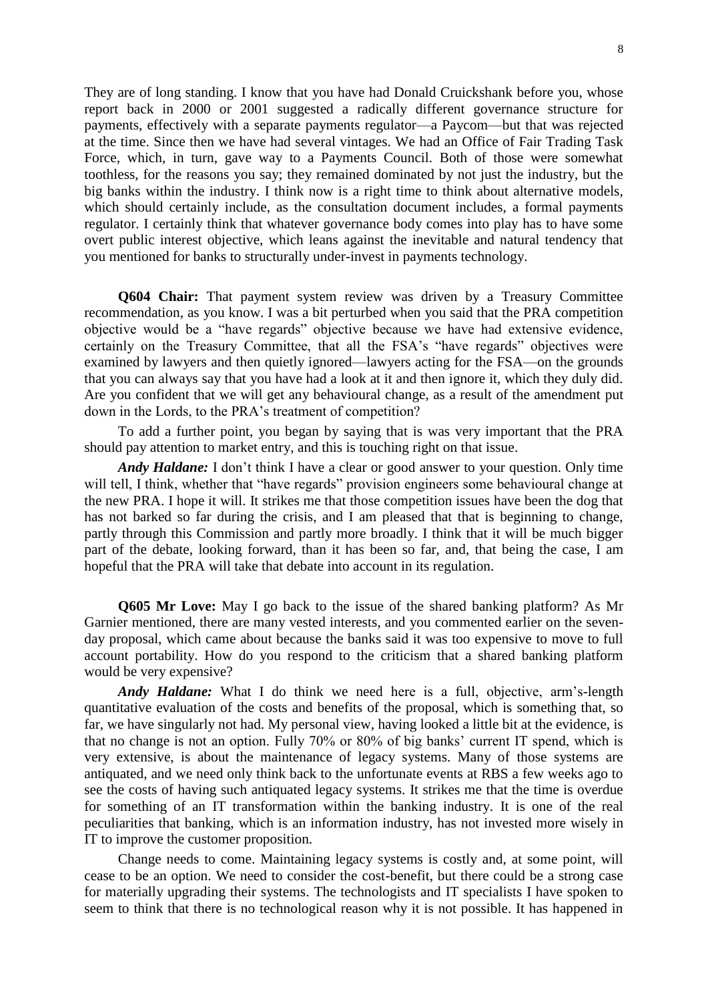They are of long standing. I know that you have had Donald Cruickshank before you, whose report back in 2000 or 2001 suggested a radically different governance structure for payments, effectively with a separate payments regulator—a Paycom—but that was rejected at the time. Since then we have had several vintages. We had an Office of Fair Trading Task Force, which, in turn, gave way to a Payments Council. Both of those were somewhat toothless, for the reasons you say; they remained dominated by not just the industry, but the big banks within the industry. I think now is a right time to think about alternative models, which should certainly include, as the consultation document includes, a formal payments regulator. I certainly think that whatever governance body comes into play has to have some overt public interest objective, which leans against the inevitable and natural tendency that you mentioned for banks to structurally under-invest in payments technology.

**Q604 Chair:** That payment system review was driven by a Treasury Committee recommendation, as you know. I was a bit perturbed when you said that the PRA competition objective would be a "have regards" objective because we have had extensive evidence, certainly on the Treasury Committee, that all the FSA's "have regards" objectives were examined by lawyers and then quietly ignored—lawyers acting for the FSA—on the grounds that you can always say that you have had a look at it and then ignore it, which they duly did. Are you confident that we will get any behavioural change, as a result of the amendment put down in the Lords, to the PRA's treatment of competition?

To add a further point, you began by saying that is was very important that the PRA should pay attention to market entry, and this is touching right on that issue.

*Andy Haldane:* I don't think I have a clear or good answer to your question. Only time will tell, I think, whether that "have regards" provision engineers some behavioural change at the new PRA. I hope it will. It strikes me that those competition issues have been the dog that has not barked so far during the crisis, and I am pleased that that is beginning to change, partly through this Commission and partly more broadly. I think that it will be much bigger part of the debate, looking forward, than it has been so far, and, that being the case, I am hopeful that the PRA will take that debate into account in its regulation.

**Q605 Mr Love:** May I go back to the issue of the shared banking platform? As Mr Garnier mentioned, there are many vested interests, and you commented earlier on the sevenday proposal, which came about because the banks said it was too expensive to move to full account portability. How do you respond to the criticism that a shared banking platform would be very expensive?

*Andy Haldane:* What I do think we need here is a full, objective, arm's-length quantitative evaluation of the costs and benefits of the proposal, which is something that, so far, we have singularly not had. My personal view, having looked a little bit at the evidence, is that no change is not an option. Fully 70% or 80% of big banks' current IT spend, which is very extensive, is about the maintenance of legacy systems. Many of those systems are antiquated, and we need only think back to the unfortunate events at RBS a few weeks ago to see the costs of having such antiquated legacy systems. It strikes me that the time is overdue for something of an IT transformation within the banking industry. It is one of the real peculiarities that banking, which is an information industry, has not invested more wisely in IT to improve the customer proposition.

Change needs to come. Maintaining legacy systems is costly and, at some point, will cease to be an option. We need to consider the cost-benefit, but there could be a strong case for materially upgrading their systems. The technologists and IT specialists I have spoken to seem to think that there is no technological reason why it is not possible. It has happened in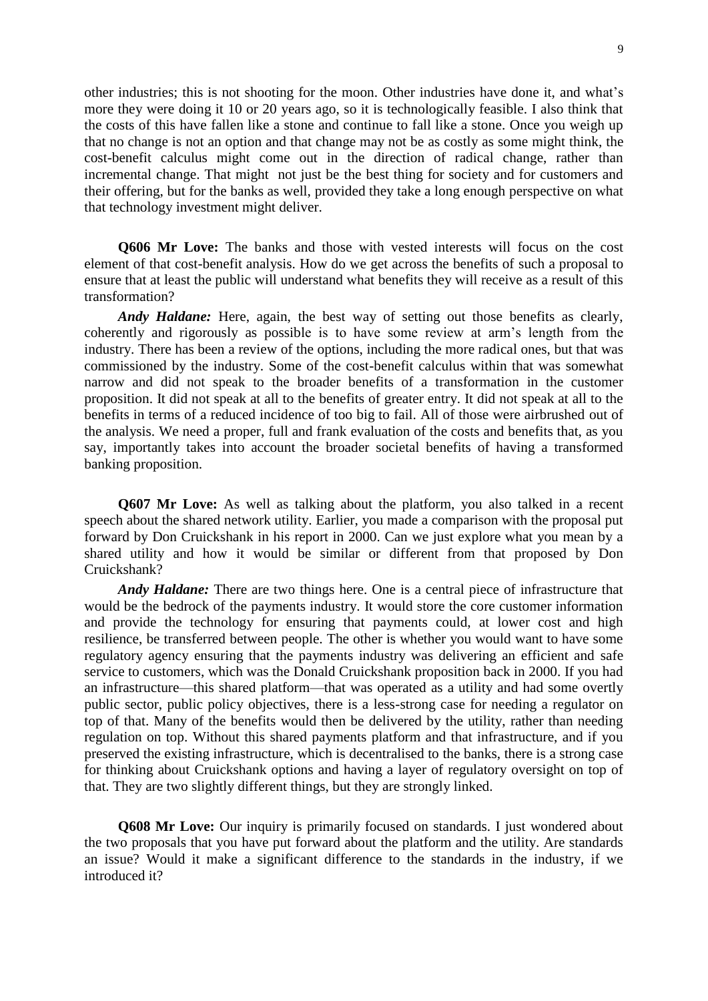other industries; this is not shooting for the moon. Other industries have done it, and what's more they were doing it 10 or 20 years ago, so it is technologically feasible. I also think that the costs of this have fallen like a stone and continue to fall like a stone. Once you weigh up that no change is not an option and that change may not be as costly as some might think, the cost-benefit calculus might come out in the direction of radical change, rather than incremental change. That might not just be the best thing for society and for customers and their offering, but for the banks as well, provided they take a long enough perspective on what that technology investment might deliver.

**Q606 Mr Love:** The banks and those with vested interests will focus on the cost element of that cost-benefit analysis. How do we get across the benefits of such a proposal to ensure that at least the public will understand what benefits they will receive as a result of this transformation?

*Andy Haldane:* Here, again, the best way of setting out those benefits as clearly, coherently and rigorously as possible is to have some review at arm's length from the industry. There has been a review of the options, including the more radical ones, but that was commissioned by the industry. Some of the cost-benefit calculus within that was somewhat narrow and did not speak to the broader benefits of a transformation in the customer proposition. It did not speak at all to the benefits of greater entry. It did not speak at all to the benefits in terms of a reduced incidence of too big to fail. All of those were airbrushed out of the analysis. We need a proper, full and frank evaluation of the costs and benefits that, as you say, importantly takes into account the broader societal benefits of having a transformed banking proposition.

**Q607 Mr Love:** As well as talking about the platform, you also talked in a recent speech about the shared network utility. Earlier, you made a comparison with the proposal put forward by Don Cruickshank in his report in 2000. Can we just explore what you mean by a shared utility and how it would be similar or different from that proposed by Don Cruickshank?

*Andy Haldane:* There are two things here. One is a central piece of infrastructure that would be the bedrock of the payments industry. It would store the core customer information and provide the technology for ensuring that payments could, at lower cost and high resilience, be transferred between people. The other is whether you would want to have some regulatory agency ensuring that the payments industry was delivering an efficient and safe service to customers, which was the Donald Cruickshank proposition back in 2000. If you had an infrastructure—this shared platform—that was operated as a utility and had some overtly public sector, public policy objectives, there is a less-strong case for needing a regulator on top of that. Many of the benefits would then be delivered by the utility, rather than needing regulation on top. Without this shared payments platform and that infrastructure, and if you preserved the existing infrastructure, which is decentralised to the banks, there is a strong case for thinking about Cruickshank options and having a layer of regulatory oversight on top of that. They are two slightly different things, but they are strongly linked.

**Q608 Mr Love:** Our inquiry is primarily focused on standards. I just wondered about the two proposals that you have put forward about the platform and the utility. Are standards an issue? Would it make a significant difference to the standards in the industry, if we introduced it?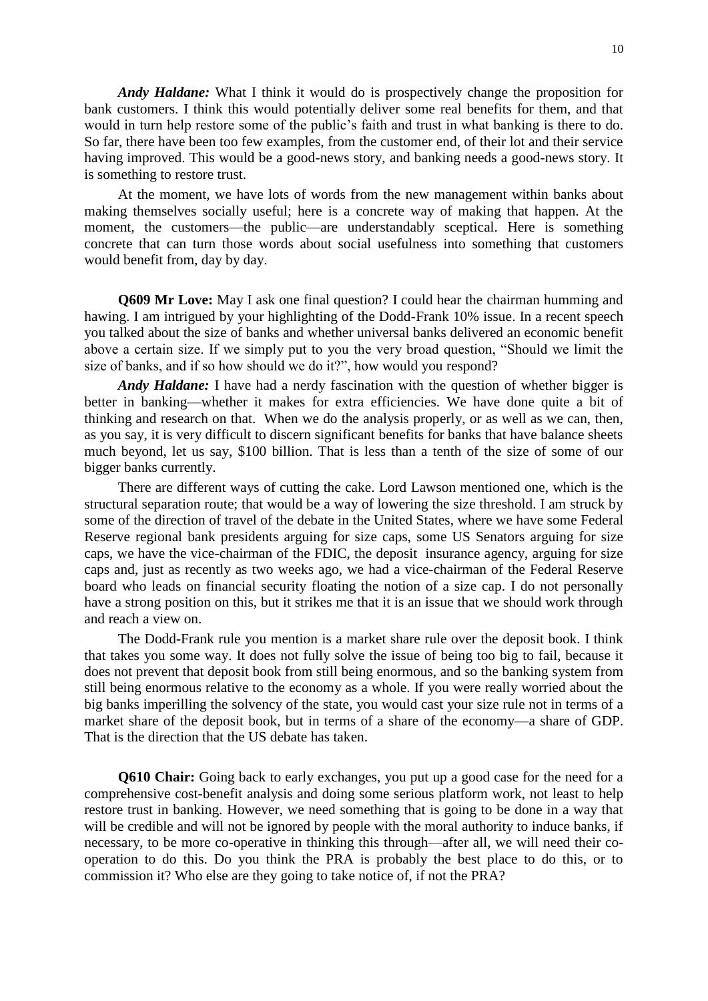*Andy Haldane:* What I think it would do is prospectively change the proposition for bank customers. I think this would potentially deliver some real benefits for them, and that would in turn help restore some of the public's faith and trust in what banking is there to do. So far, there have been too few examples, from the customer end, of their lot and their service having improved. This would be a good-news story, and banking needs a good-news story. It is something to restore trust.

At the moment, we have lots of words from the new management within banks about making themselves socially useful; here is a concrete way of making that happen. At the moment, the customers—the public—are understandably sceptical. Here is something concrete that can turn those words about social usefulness into something that customers would benefit from, day by day.

**Q609 Mr Love:** May I ask one final question? I could hear the chairman humming and hawing. I am intrigued by your highlighting of the Dodd-Frank 10% issue. In a recent speech you talked about the size of banks and whether universal banks delivered an economic benefit above a certain size. If we simply put to you the very broad question, "Should we limit the size of banks, and if so how should we do it?", how would you respond?

*Andy Haldane:* I have had a nerdy fascination with the question of whether bigger is better in banking—whether it makes for extra efficiencies. We have done quite a bit of thinking and research on that. When we do the analysis properly, or as well as we can, then, as you say, it is very difficult to discern significant benefits for banks that have balance sheets much beyond, let us say, \$100 billion. That is less than a tenth of the size of some of our bigger banks currently.

There are different ways of cutting the cake. Lord Lawson mentioned one, which is the structural separation route; that would be a way of lowering the size threshold. I am struck by some of the direction of travel of the debate in the United States, where we have some Federal Reserve regional bank presidents arguing for size caps, some US Senators arguing for size caps, we have the vice-chairman of the FDIC, the deposit insurance agency, arguing for size caps and, just as recently as two weeks ago, we had a vice-chairman of the Federal Reserve board who leads on financial security floating the notion of a size cap. I do not personally have a strong position on this, but it strikes me that it is an issue that we should work through and reach a view on.

The Dodd-Frank rule you mention is a market share rule over the deposit book. I think that takes you some way. It does not fully solve the issue of being too big to fail, because it does not prevent that deposit book from still being enormous, and so the banking system from still being enormous relative to the economy as a whole. If you were really worried about the big banks imperilling the solvency of the state, you would cast your size rule not in terms of a market share of the deposit book, but in terms of a share of the economy—a share of GDP. That is the direction that the US debate has taken.

**Q610 Chair:** Going back to early exchanges, you put up a good case for the need for a comprehensive cost-benefit analysis and doing some serious platform work, not least to help restore trust in banking. However, we need something that is going to be done in a way that will be credible and will not be ignored by people with the moral authority to induce banks, if necessary, to be more co-operative in thinking this through—after all, we will need their cooperation to do this. Do you think the PRA is probably the best place to do this, or to commission it? Who else are they going to take notice of, if not the PRA?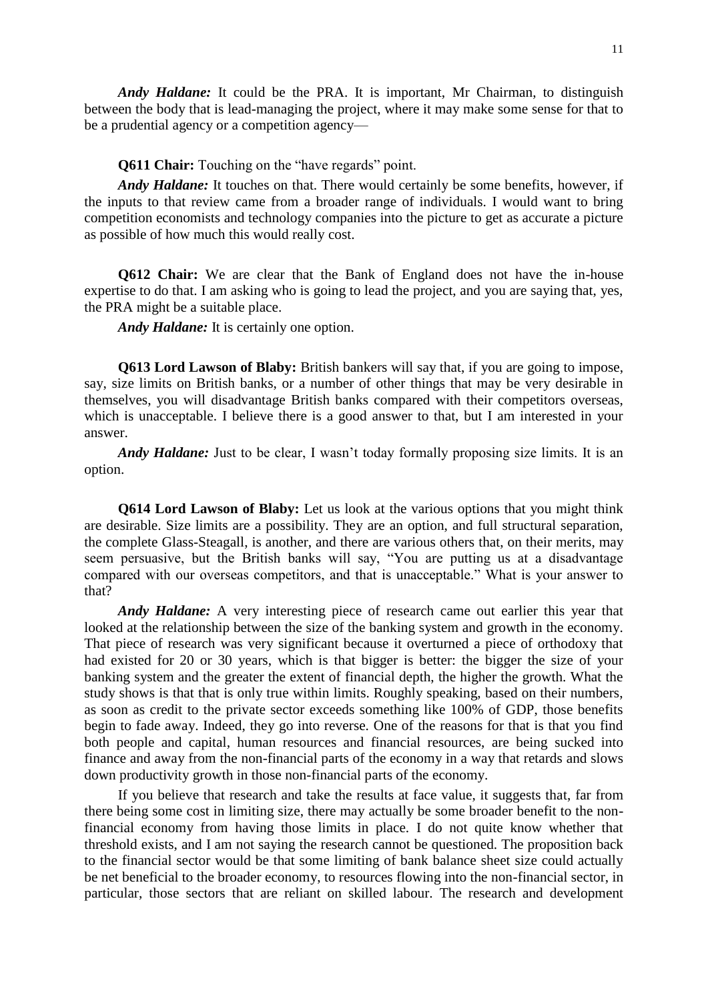*Andy Haldane:* It could be the PRA. It is important, Mr Chairman, to distinguish between the body that is lead-managing the project, where it may make some sense for that to be a prudential agency or a competition agency—

**Q611 Chair:** Touching on the "have regards" point.

*Andy Haldane:* It touches on that. There would certainly be some benefits, however, if the inputs to that review came from a broader range of individuals. I would want to bring competition economists and technology companies into the picture to get as accurate a picture as possible of how much this would really cost.

**Q612 Chair:** We are clear that the Bank of England does not have the in-house expertise to do that. I am asking who is going to lead the project, and you are saying that, yes, the PRA might be a suitable place.

*Andy Haldane:* It is certainly one option.

**Q613 Lord Lawson of Blaby:** British bankers will say that, if you are going to impose, say, size limits on British banks, or a number of other things that may be very desirable in themselves, you will disadvantage British banks compared with their competitors overseas, which is unacceptable. I believe there is a good answer to that, but I am interested in your answer.

*Andy Haldane:* Just to be clear, I wasn't today formally proposing size limits. It is an option.

**Q614 Lord Lawson of Blaby:** Let us look at the various options that you might think are desirable. Size limits are a possibility. They are an option, and full structural separation, the complete Glass-Steagall, is another, and there are various others that, on their merits, may seem persuasive, but the British banks will say, "You are putting us at a disadvantage compared with our overseas competitors, and that is unacceptable." What is your answer to that?

*Andy Haldane:* A very interesting piece of research came out earlier this year that looked at the relationship between the size of the banking system and growth in the economy. That piece of research was very significant because it overturned a piece of orthodoxy that had existed for 20 or 30 years, which is that bigger is better: the bigger the size of your banking system and the greater the extent of financial depth, the higher the growth. What the study shows is that that is only true within limits. Roughly speaking, based on their numbers, as soon as credit to the private sector exceeds something like 100% of GDP, those benefits begin to fade away. Indeed, they go into reverse. One of the reasons for that is that you find both people and capital, human resources and financial resources, are being sucked into finance and away from the non-financial parts of the economy in a way that retards and slows down productivity growth in those non-financial parts of the economy.

If you believe that research and take the results at face value, it suggests that, far from there being some cost in limiting size, there may actually be some broader benefit to the nonfinancial economy from having those limits in place. I do not quite know whether that threshold exists, and I am not saying the research cannot be questioned. The proposition back to the financial sector would be that some limiting of bank balance sheet size could actually be net beneficial to the broader economy, to resources flowing into the non-financial sector, in particular, those sectors that are reliant on skilled labour. The research and development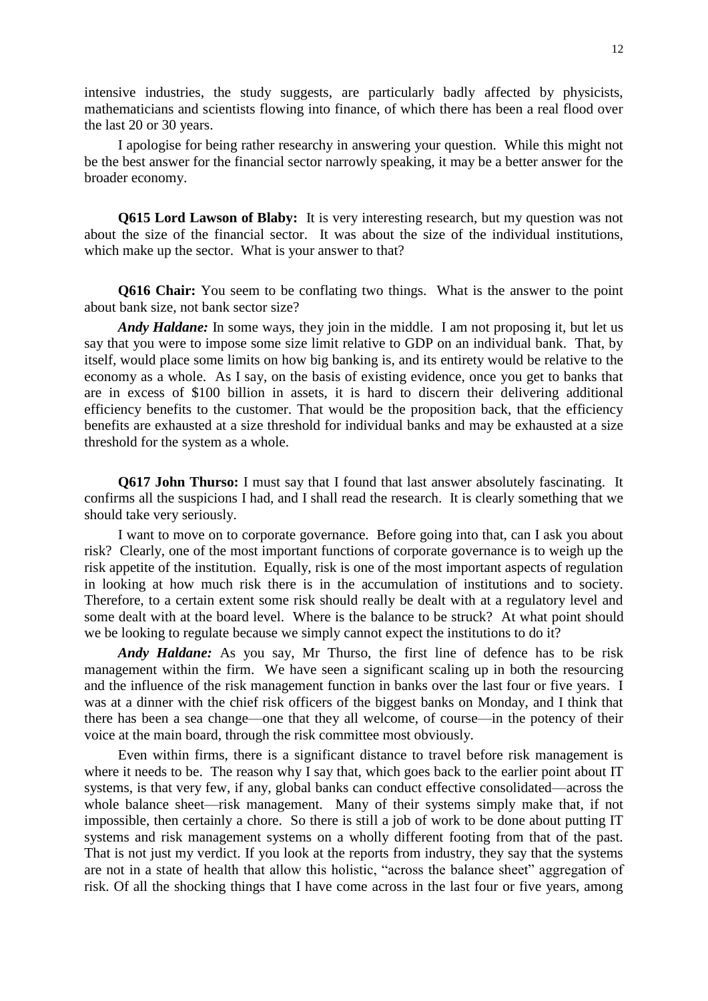intensive industries, the study suggests, are particularly badly affected by physicists, mathematicians and scientists flowing into finance, of which there has been a real flood over the last 20 or 30 years.

I apologise for being rather researchy in answering your question. While this might not be the best answer for the financial sector narrowly speaking, it may be a better answer for the broader economy.

**Q615 Lord Lawson of Blaby:** It is very interesting research, but my question was not about the size of the financial sector. It was about the size of the individual institutions, which make up the sector. What is your answer to that?

**Q616 Chair:** You seem to be conflating two things. What is the answer to the point about bank size, not bank sector size?

*Andy Haldane:* In some ways, they join in the middle. I am not proposing it, but let us say that you were to impose some size limit relative to GDP on an individual bank. That, by itself, would place some limits on how big banking is, and its entirety would be relative to the economy as a whole. As I say, on the basis of existing evidence, once you get to banks that are in excess of \$100 billion in assets, it is hard to discern their delivering additional efficiency benefits to the customer. That would be the proposition back, that the efficiency benefits are exhausted at a size threshold for individual banks and may be exhausted at a size threshold for the system as a whole.

**Q617 John Thurso:** I must say that I found that last answer absolutely fascinating. It confirms all the suspicions I had, and I shall read the research. It is clearly something that we should take very seriously.

I want to move on to corporate governance. Before going into that, can I ask you about risk? Clearly, one of the most important functions of corporate governance is to weigh up the risk appetite of the institution. Equally, risk is one of the most important aspects of regulation in looking at how much risk there is in the accumulation of institutions and to society. Therefore, to a certain extent some risk should really be dealt with at a regulatory level and some dealt with at the board level. Where is the balance to be struck? At what point should we be looking to regulate because we simply cannot expect the institutions to do it?

*Andy Haldane:* As you say, Mr Thurso, the first line of defence has to be risk management within the firm. We have seen a significant scaling up in both the resourcing and the influence of the risk management function in banks over the last four or five years. I was at a dinner with the chief risk officers of the biggest banks on Monday, and I think that there has been a sea change—one that they all welcome, of course—in the potency of their voice at the main board, through the risk committee most obviously.

Even within firms, there is a significant distance to travel before risk management is where it needs to be. The reason why I say that, which goes back to the earlier point about IT systems, is that very few, if any, global banks can conduct effective consolidated—across the whole balance sheet—risk management. Many of their systems simply make that, if not impossible, then certainly a chore. So there is still a job of work to be done about putting IT systems and risk management systems on a wholly different footing from that of the past. That is not just my verdict. If you look at the reports from industry, they say that the systems are not in a state of health that allow this holistic, "across the balance sheet" aggregation of risk. Of all the shocking things that I have come across in the last four or five years, among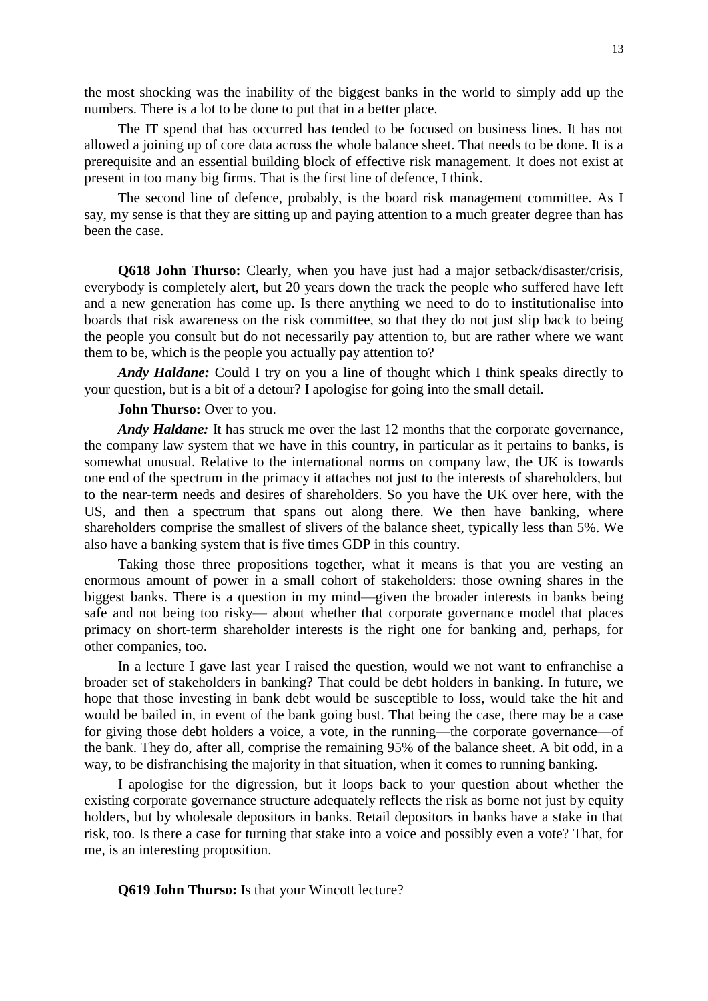the most shocking was the inability of the biggest banks in the world to simply add up the numbers. There is a lot to be done to put that in a better place.

The IT spend that has occurred has tended to be focused on business lines. It has not allowed a joining up of core data across the whole balance sheet. That needs to be done. It is a prerequisite and an essential building block of effective risk management. It does not exist at present in too many big firms. That is the first line of defence, I think.

The second line of defence, probably, is the board risk management committee. As I say, my sense is that they are sitting up and paying attention to a much greater degree than has been the case.

**Q618 John Thurso:** Clearly, when you have just had a major setback/disaster/crisis, everybody is completely alert, but 20 years down the track the people who suffered have left and a new generation has come up. Is there anything we need to do to institutionalise into boards that risk awareness on the risk committee, so that they do not just slip back to being the people you consult but do not necessarily pay attention to, but are rather where we want them to be, which is the people you actually pay attention to?

*Andy Haldane:* Could I try on you a line of thought which I think speaks directly to your question, but is a bit of a detour? I apologise for going into the small detail.

#### **John Thurso:** Over to you.

*Andy Haldane:* It has struck me over the last 12 months that the corporate governance, the company law system that we have in this country, in particular as it pertains to banks, is somewhat unusual. Relative to the international norms on company law, the UK is towards one end of the spectrum in the primacy it attaches not just to the interests of shareholders, but to the near-term needs and desires of shareholders. So you have the UK over here, with the US, and then a spectrum that spans out along there. We then have banking, where shareholders comprise the smallest of slivers of the balance sheet, typically less than 5%. We also have a banking system that is five times GDP in this country.

Taking those three propositions together, what it means is that you are vesting an enormous amount of power in a small cohort of stakeholders: those owning shares in the biggest banks. There is a question in my mind—given the broader interests in banks being safe and not being too risky— about whether that corporate governance model that places primacy on short-term shareholder interests is the right one for banking and, perhaps, for other companies, too.

In a lecture I gave last year I raised the question, would we not want to enfranchise a broader set of stakeholders in banking? That could be debt holders in banking. In future, we hope that those investing in bank debt would be susceptible to loss, would take the hit and would be bailed in, in event of the bank going bust. That being the case, there may be a case for giving those debt holders a voice, a vote, in the running—the corporate governance—of the bank. They do, after all, comprise the remaining 95% of the balance sheet. A bit odd, in a way, to be disfranchising the majority in that situation, when it comes to running banking.

I apologise for the digression, but it loops back to your question about whether the existing corporate governance structure adequately reflects the risk as borne not just by equity holders, but by wholesale depositors in banks. Retail depositors in banks have a stake in that risk, too. Is there a case for turning that stake into a voice and possibly even a vote? That, for me, is an interesting proposition.

### **Q619 John Thurso:** Is that your Wincott lecture?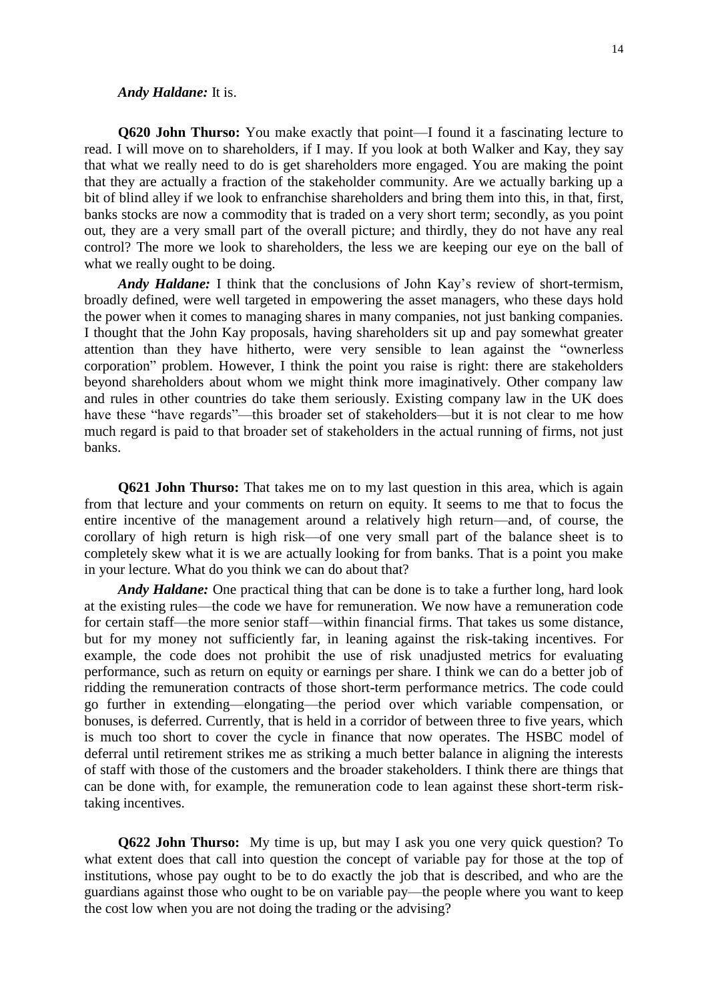#### *Andy Haldane:* It is.

**Q620 John Thurso:** You make exactly that point—I found it a fascinating lecture to read. I will move on to shareholders, if I may. If you look at both Walker and Kay, they say that what we really need to do is get shareholders more engaged. You are making the point that they are actually a fraction of the stakeholder community. Are we actually barking up a bit of blind alley if we look to enfranchise shareholders and bring them into this, in that, first, banks stocks are now a commodity that is traded on a very short term; secondly, as you point out, they are a very small part of the overall picture; and thirdly, they do not have any real control? The more we look to shareholders, the less we are keeping our eye on the ball of what we really ought to be doing.

*Andy Haldane:* I think that the conclusions of John Kay's review of short-termism, broadly defined, were well targeted in empowering the asset managers, who these days hold the power when it comes to managing shares in many companies, not just banking companies. I thought that the John Kay proposals, having shareholders sit up and pay somewhat greater attention than they have hitherto, were very sensible to lean against the "ownerless corporation" problem. However, I think the point you raise is right: there are stakeholders beyond shareholders about whom we might think more imaginatively. Other company law and rules in other countries do take them seriously. Existing company law in the UK does have these "have regards"—this broader set of stakeholders—but it is not clear to me how much regard is paid to that broader set of stakeholders in the actual running of firms, not just banks.

**Q621 John Thurso:** That takes me on to my last question in this area, which is again from that lecture and your comments on return on equity. It seems to me that to focus the entire incentive of the management around a relatively high return—and, of course, the corollary of high return is high risk—of one very small part of the balance sheet is to completely skew what it is we are actually looking for from banks. That is a point you make in your lecture. What do you think we can do about that?

*Andy Haldane:* One practical thing that can be done is to take a further long, hard look at the existing rules—the code we have for remuneration. We now have a remuneration code for certain staff—the more senior staff—within financial firms. That takes us some distance, but for my money not sufficiently far, in leaning against the risk-taking incentives. For example, the code does not prohibit the use of risk unadjusted metrics for evaluating performance, such as return on equity or earnings per share. I think we can do a better job of ridding the remuneration contracts of those short-term performance metrics. The code could go further in extending—elongating—the period over which variable compensation, or bonuses, is deferred. Currently, that is held in a corridor of between three to five years, which is much too short to cover the cycle in finance that now operates. The HSBC model of deferral until retirement strikes me as striking a much better balance in aligning the interests of staff with those of the customers and the broader stakeholders. I think there are things that can be done with, for example, the remuneration code to lean against these short-term risktaking incentives.

**Q622 John Thurso:** My time is up, but may I ask you one very quick question? To what extent does that call into question the concept of variable pay for those at the top of institutions, whose pay ought to be to do exactly the job that is described, and who are the guardians against those who ought to be on variable pay—the people where you want to keep the cost low when you are not doing the trading or the advising?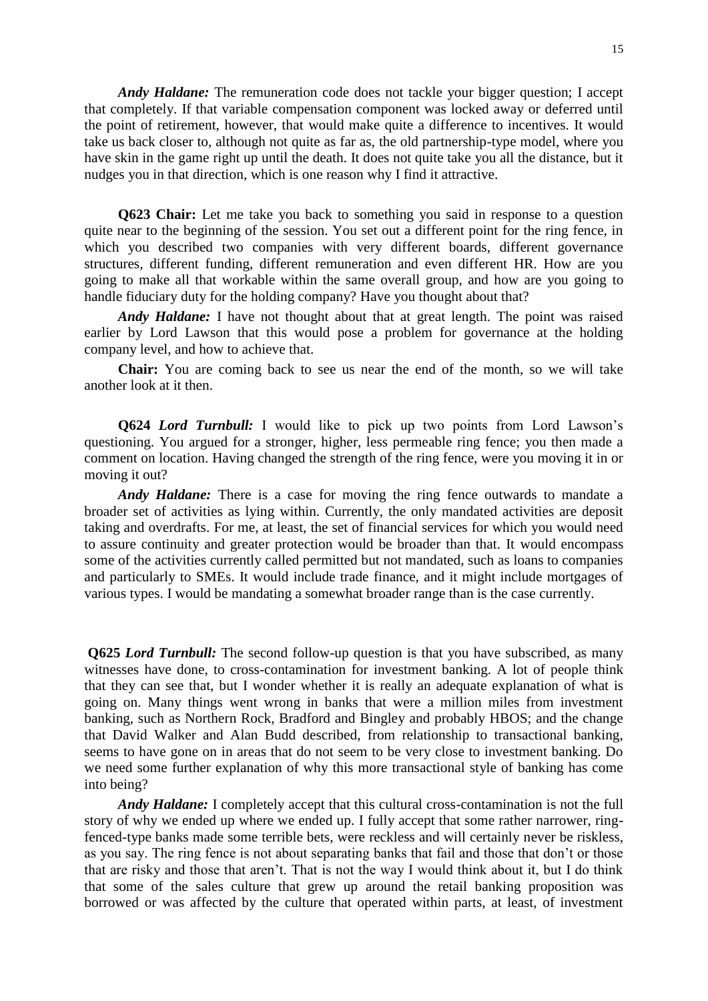*Andy Haldane:* The remuneration code does not tackle your bigger question; I accept that completely. If that variable compensation component was locked away or deferred until the point of retirement, however, that would make quite a difference to incentives. It would take us back closer to, although not quite as far as, the old partnership-type model, where you have skin in the game right up until the death. It does not quite take you all the distance, but it nudges you in that direction, which is one reason why I find it attractive.

**Q623 Chair:** Let me take you back to something you said in response to a question quite near to the beginning of the session. You set out a different point for the ring fence, in which you described two companies with very different boards, different governance structures, different funding, different remuneration and even different HR. How are you going to make all that workable within the same overall group, and how are you going to handle fiduciary duty for the holding company? Have you thought about that?

*Andy Haldane:* I have not thought about that at great length. The point was raised earlier by Lord Lawson that this would pose a problem for governance at the holding company level, and how to achieve that.

**Chair:** You are coming back to see us near the end of the month, so we will take another look at it then.

**Q624** *Lord Turnbull:* I would like to pick up two points from Lord Lawson's questioning. You argued for a stronger, higher, less permeable ring fence; you then made a comment on location. Having changed the strength of the ring fence, were you moving it in or moving it out?

*Andy Haldane:* There is a case for moving the ring fence outwards to mandate a broader set of activities as lying within. Currently, the only mandated activities are deposit taking and overdrafts. For me, at least, the set of financial services for which you would need to assure continuity and greater protection would be broader than that. It would encompass some of the activities currently called permitted but not mandated, such as loans to companies and particularly to SMEs. It would include trade finance, and it might include mortgages of various types. I would be mandating a somewhat broader range than is the case currently.

**Q625** *Lord Turnbull:* The second follow-up question is that you have subscribed, as many witnesses have done, to cross-contamination for investment banking. A lot of people think that they can see that, but I wonder whether it is really an adequate explanation of what is going on. Many things went wrong in banks that were a million miles from investment banking, such as Northern Rock, Bradford and Bingley and probably HBOS; and the change that David Walker and Alan Budd described, from relationship to transactional banking, seems to have gone on in areas that do not seem to be very close to investment banking. Do we need some further explanation of why this more transactional style of banking has come into being?

*Andy Haldane:* I completely accept that this cultural cross-contamination is not the full story of why we ended up where we ended up. I fully accept that some rather narrower, ringfenced-type banks made some terrible bets, were reckless and will certainly never be riskless, as you say. The ring fence is not about separating banks that fail and those that don't or those that are risky and those that aren't. That is not the way I would think about it, but I do think that some of the sales culture that grew up around the retail banking proposition was borrowed or was affected by the culture that operated within parts, at least, of investment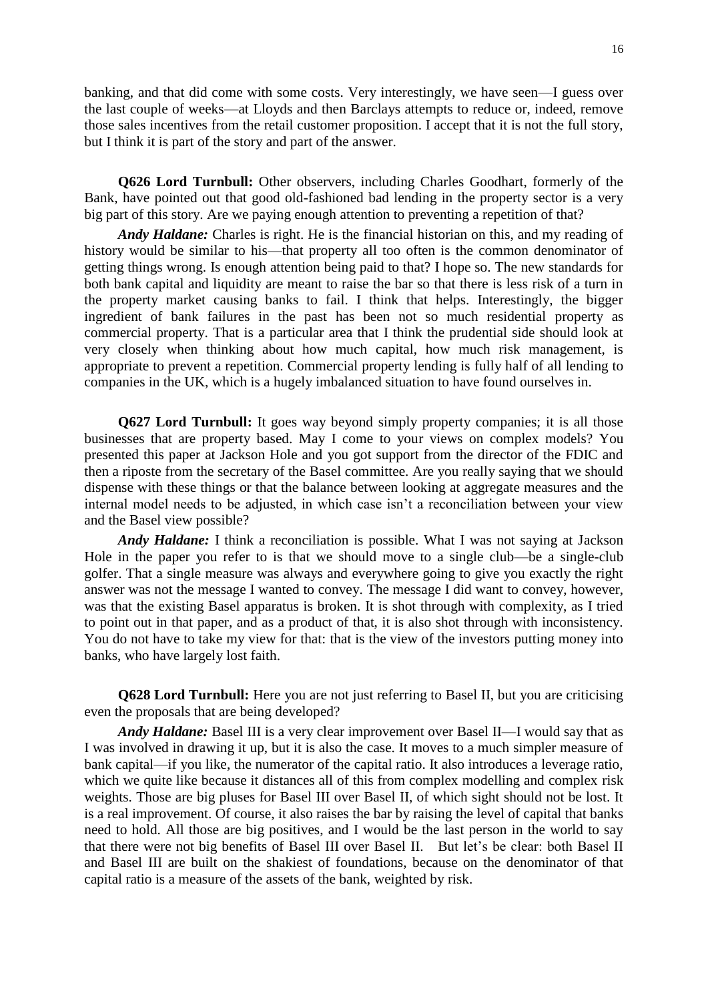banking, and that did come with some costs. Very interestingly, we have seen—I guess over the last couple of weeks—at Lloyds and then Barclays attempts to reduce or, indeed, remove those sales incentives from the retail customer proposition. I accept that it is not the full story, but I think it is part of the story and part of the answer.

**Q626 Lord Turnbull:** Other observers, including Charles Goodhart, formerly of the Bank, have pointed out that good old-fashioned bad lending in the property sector is a very big part of this story. Are we paying enough attention to preventing a repetition of that?

*Andy Haldane:* Charles is right. He is the financial historian on this, and my reading of history would be similar to his—that property all too often is the common denominator of getting things wrong. Is enough attention being paid to that? I hope so. The new standards for both bank capital and liquidity are meant to raise the bar so that there is less risk of a turn in the property market causing banks to fail. I think that helps. Interestingly, the bigger ingredient of bank failures in the past has been not so much residential property as commercial property. That is a particular area that I think the prudential side should look at very closely when thinking about how much capital, how much risk management, is appropriate to prevent a repetition. Commercial property lending is fully half of all lending to companies in the UK, which is a hugely imbalanced situation to have found ourselves in.

**Q627 Lord Turnbull:** It goes way beyond simply property companies; it is all those businesses that are property based. May I come to your views on complex models? You presented this paper at Jackson Hole and you got support from the director of the FDIC and then a riposte from the secretary of the Basel committee. Are you really saying that we should dispense with these things or that the balance between looking at aggregate measures and the internal model needs to be adjusted, in which case isn't a reconciliation between your view and the Basel view possible?

*Andy Haldane:* I think a reconciliation is possible. What I was not saying at Jackson Hole in the paper you refer to is that we should move to a single club—be a single-club golfer. That a single measure was always and everywhere going to give you exactly the right answer was not the message I wanted to convey. The message I did want to convey, however, was that the existing Basel apparatus is broken. It is shot through with complexity, as I tried to point out in that paper, and as a product of that, it is also shot through with inconsistency. You do not have to take my view for that: that is the view of the investors putting money into banks, who have largely lost faith.

**Q628 Lord Turnbull:** Here you are not just referring to Basel II, but you are criticising even the proposals that are being developed?

*Andy Haldane:* Basel III is a very clear improvement over Basel II—I would say that as I was involved in drawing it up, but it is also the case. It moves to a much simpler measure of bank capital—if you like, the numerator of the capital ratio. It also introduces a leverage ratio, which we quite like because it distances all of this from complex modelling and complex risk weights. Those are big pluses for Basel III over Basel II, of which sight should not be lost. It is a real improvement. Of course, it also raises the bar by raising the level of capital that banks need to hold. All those are big positives, and I would be the last person in the world to say that there were not big benefits of Basel III over Basel II. But let's be clear: both Basel II and Basel III are built on the shakiest of foundations, because on the denominator of that capital ratio is a measure of the assets of the bank, weighted by risk.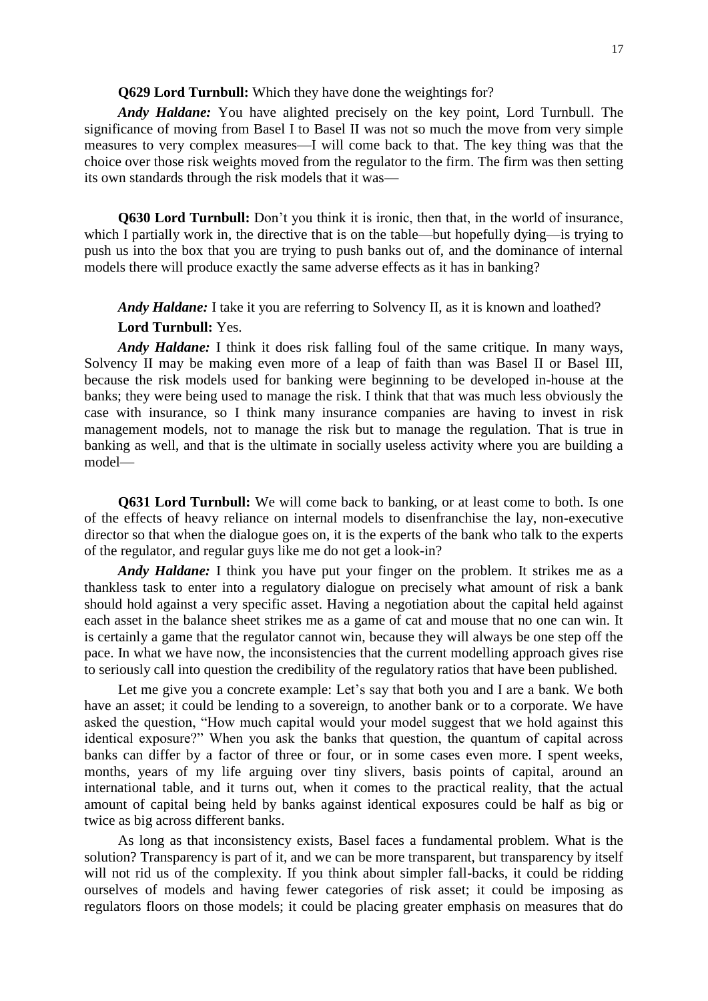### **Q629 Lord Turnbull:** Which they have done the weightings for?

*Andy Haldane:* You have alighted precisely on the key point, Lord Turnbull. The significance of moving from Basel I to Basel II was not so much the move from very simple measures to very complex measures—I will come back to that. The key thing was that the choice over those risk weights moved from the regulator to the firm. The firm was then setting its own standards through the risk models that it was—

**Q630 Lord Turnbull:** Don't you think it is ironic, then that, in the world of insurance, which I partially work in, the directive that is on the table—but hopefully dying—is trying to push us into the box that you are trying to push banks out of, and the dominance of internal models there will produce exactly the same adverse effects as it has in banking?

*Andy Haldane:* I take it you are referring to Solvency II, as it is known and loathed? **Lord Turnbull:** Yes.

*Andy Haldane:* I think it does risk falling foul of the same critique. In many ways, Solvency II may be making even more of a leap of faith than was Basel II or Basel III, because the risk models used for banking were beginning to be developed in-house at the banks; they were being used to manage the risk. I think that that was much less obviously the case with insurance, so I think many insurance companies are having to invest in risk management models, not to manage the risk but to manage the regulation. That is true in banking as well, and that is the ultimate in socially useless activity where you are building a model—

**Q631 Lord Turnbull:** We will come back to banking, or at least come to both. Is one of the effects of heavy reliance on internal models to disenfranchise the lay, non-executive director so that when the dialogue goes on, it is the experts of the bank who talk to the experts of the regulator, and regular guys like me do not get a look-in?

*Andy Haldane:* I think you have put your finger on the problem. It strikes me as a thankless task to enter into a regulatory dialogue on precisely what amount of risk a bank should hold against a very specific asset. Having a negotiation about the capital held against each asset in the balance sheet strikes me as a game of cat and mouse that no one can win. It is certainly a game that the regulator cannot win, because they will always be one step off the pace. In what we have now, the inconsistencies that the current modelling approach gives rise to seriously call into question the credibility of the regulatory ratios that have been published.

Let me give you a concrete example: Let's say that both you and I are a bank. We both have an asset; it could be lending to a sovereign, to another bank or to a corporate. We have asked the question, "How much capital would your model suggest that we hold against this identical exposure?" When you ask the banks that question, the quantum of capital across banks can differ by a factor of three or four, or in some cases even more. I spent weeks, months, years of my life arguing over tiny slivers, basis points of capital, around an international table, and it turns out, when it comes to the practical reality, that the actual amount of capital being held by banks against identical exposures could be half as big or twice as big across different banks.

As long as that inconsistency exists, Basel faces a fundamental problem. What is the solution? Transparency is part of it, and we can be more transparent, but transparency by itself will not rid us of the complexity. If you think about simpler fall-backs, it could be ridding ourselves of models and having fewer categories of risk asset; it could be imposing as regulators floors on those models; it could be placing greater emphasis on measures that do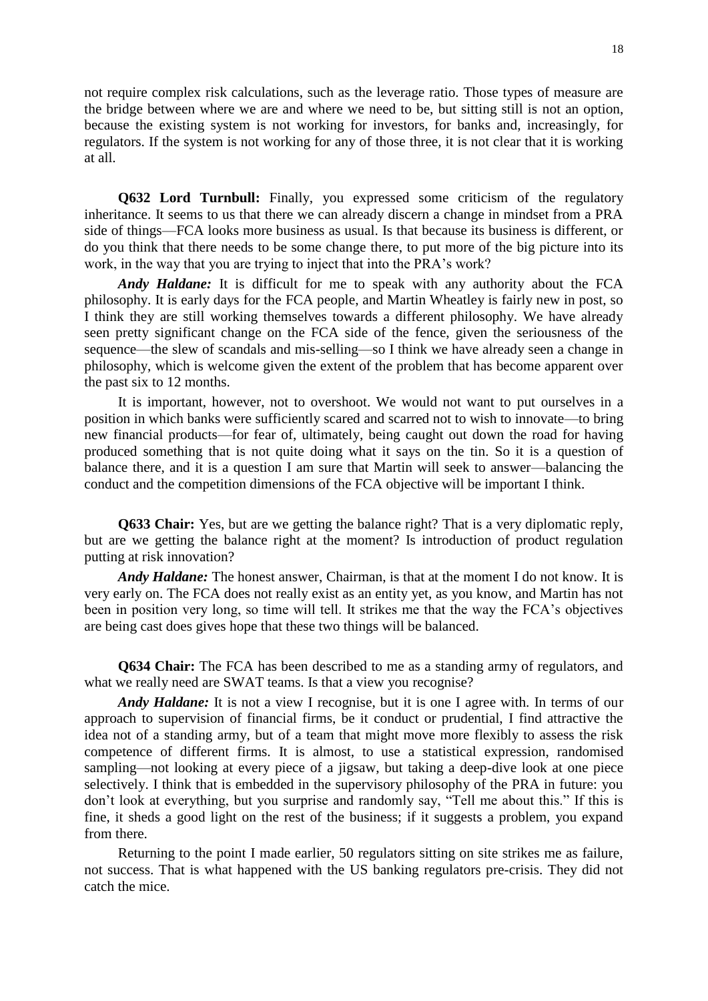not require complex risk calculations, such as the leverage ratio. Those types of measure are the bridge between where we are and where we need to be, but sitting still is not an option, because the existing system is not working for investors, for banks and, increasingly, for regulators. If the system is not working for any of those three, it is not clear that it is working at all.

**Q632 Lord Turnbull:** Finally, you expressed some criticism of the regulatory inheritance. It seems to us that there we can already discern a change in mindset from a PRA side of things—FCA looks more business as usual. Is that because its business is different, or do you think that there needs to be some change there, to put more of the big picture into its work, in the way that you are trying to inject that into the PRA's work?

*Andy Haldane:* It is difficult for me to speak with any authority about the FCA philosophy. It is early days for the FCA people, and Martin Wheatley is fairly new in post, so I think they are still working themselves towards a different philosophy. We have already seen pretty significant change on the FCA side of the fence, given the seriousness of the sequence—the slew of scandals and mis-selling—so I think we have already seen a change in philosophy, which is welcome given the extent of the problem that has become apparent over the past six to 12 months.

It is important, however, not to overshoot. We would not want to put ourselves in a position in which banks were sufficiently scared and scarred not to wish to innovate—to bring new financial products—for fear of, ultimately, being caught out down the road for having produced something that is not quite doing what it says on the tin. So it is a question of balance there, and it is a question I am sure that Martin will seek to answer—balancing the conduct and the competition dimensions of the FCA objective will be important I think.

**Q633 Chair:** Yes, but are we getting the balance right? That is a very diplomatic reply, but are we getting the balance right at the moment? Is introduction of product regulation putting at risk innovation?

*Andy Haldane:* The honest answer, Chairman, is that at the moment I do not know. It is very early on. The FCA does not really exist as an entity yet, as you know, and Martin has not been in position very long, so time will tell. It strikes me that the way the FCA's objectives are being cast does gives hope that these two things will be balanced.

**Q634 Chair:** The FCA has been described to me as a standing army of regulators, and what we really need are SWAT teams. Is that a view you recognise?

*Andy Haldane:* It is not a view I recognise, but it is one I agree with. In terms of our approach to supervision of financial firms, be it conduct or prudential, I find attractive the idea not of a standing army, but of a team that might move more flexibly to assess the risk competence of different firms. It is almost, to use a statistical expression, randomised sampling—not looking at every piece of a jigsaw, but taking a deep-dive look at one piece selectively. I think that is embedded in the supervisory philosophy of the PRA in future: you don't look at everything, but you surprise and randomly say, "Tell me about this." If this is fine, it sheds a good light on the rest of the business; if it suggests a problem, you expand from there.

Returning to the point I made earlier, 50 regulators sitting on site strikes me as failure, not success. That is what happened with the US banking regulators pre-crisis. They did not catch the mice.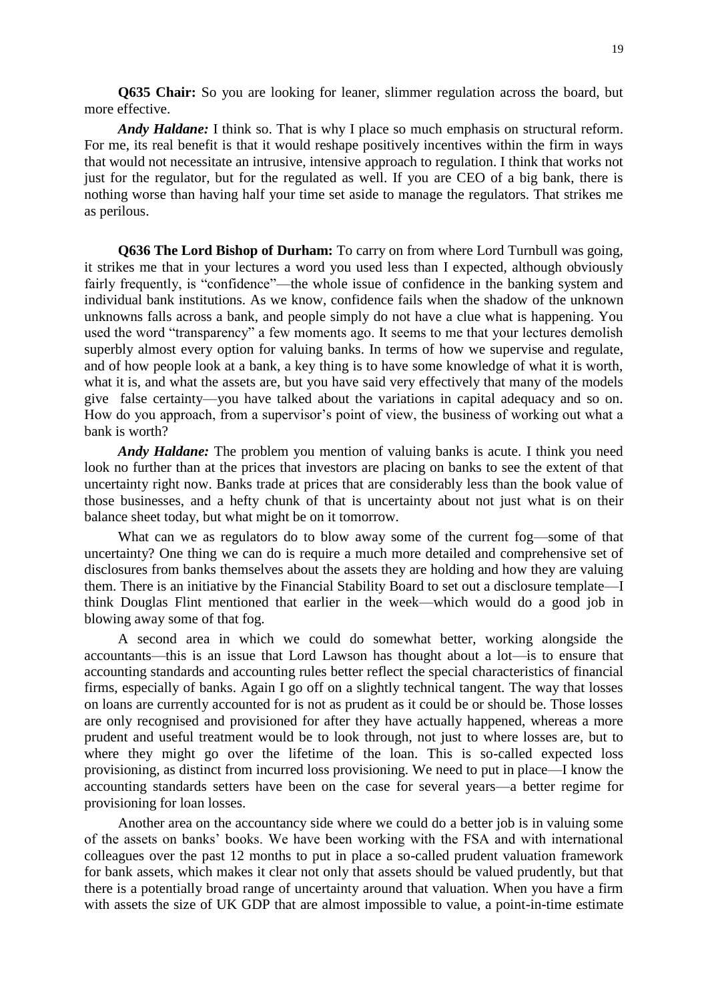**Q635 Chair:** So you are looking for leaner, slimmer regulation across the board, but more effective.

*Andy Haldane:* I think so. That is why I place so much emphasis on structural reform. For me, its real benefit is that it would reshape positively incentives within the firm in ways that would not necessitate an intrusive, intensive approach to regulation. I think that works not just for the regulator, but for the regulated as well. If you are CEO of a big bank, there is nothing worse than having half your time set aside to manage the regulators. That strikes me as perilous.

**Q636 The Lord Bishop of Durham:** To carry on from where Lord Turnbull was going, it strikes me that in your lectures a word you used less than I expected, although obviously fairly frequently, is "confidence"—the whole issue of confidence in the banking system and individual bank institutions. As we know, confidence fails when the shadow of the unknown unknowns falls across a bank, and people simply do not have a clue what is happening. You used the word "transparency" a few moments ago. It seems to me that your lectures demolish superbly almost every option for valuing banks. In terms of how we supervise and regulate, and of how people look at a bank, a key thing is to have some knowledge of what it is worth, what it is, and what the assets are, but you have said very effectively that many of the models give false certainty—you have talked about the variations in capital adequacy and so on. How do you approach, from a supervisor's point of view, the business of working out what a bank is worth?

*Andy Haldane:* The problem you mention of valuing banks is acute. I think you need look no further than at the prices that investors are placing on banks to see the extent of that uncertainty right now. Banks trade at prices that are considerably less than the book value of those businesses, and a hefty chunk of that is uncertainty about not just what is on their balance sheet today, but what might be on it tomorrow.

What can we as regulators do to blow away some of the current fog—some of that uncertainty? One thing we can do is require a much more detailed and comprehensive set of disclosures from banks themselves about the assets they are holding and how they are valuing them. There is an initiative by the Financial Stability Board to set out a disclosure template—I think Douglas Flint mentioned that earlier in the week—which would do a good job in blowing away some of that fog.

A second area in which we could do somewhat better, working alongside the accountants—this is an issue that Lord Lawson has thought about a lot—is to ensure that accounting standards and accounting rules better reflect the special characteristics of financial firms, especially of banks. Again I go off on a slightly technical tangent. The way that losses on loans are currently accounted for is not as prudent as it could be or should be. Those losses are only recognised and provisioned for after they have actually happened, whereas a more prudent and useful treatment would be to look through, not just to where losses are, but to where they might go over the lifetime of the loan. This is so-called expected loss provisioning, as distinct from incurred loss provisioning. We need to put in place—I know the accounting standards setters have been on the case for several years—a better regime for provisioning for loan losses.

Another area on the accountancy side where we could do a better job is in valuing some of the assets on banks' books. We have been working with the FSA and with international colleagues over the past 12 months to put in place a so-called prudent valuation framework for bank assets, which makes it clear not only that assets should be valued prudently, but that there is a potentially broad range of uncertainty around that valuation. When you have a firm with assets the size of UK GDP that are almost impossible to value, a point-in-time estimate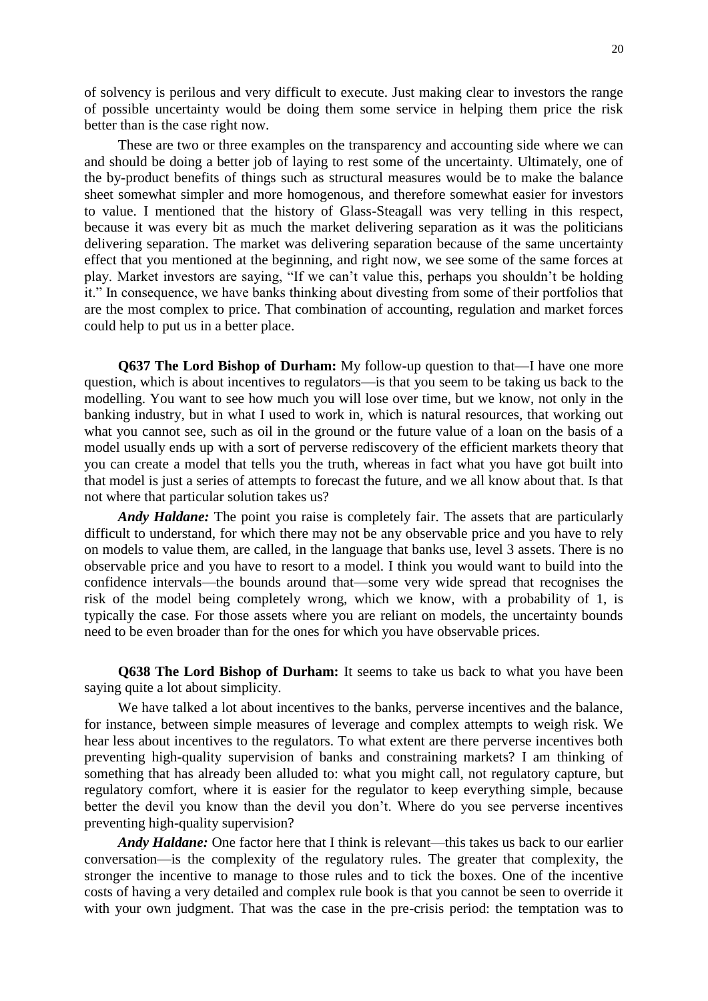of solvency is perilous and very difficult to execute. Just making clear to investors the range of possible uncertainty would be doing them some service in helping them price the risk better than is the case right now.

These are two or three examples on the transparency and accounting side where we can and should be doing a better job of laying to rest some of the uncertainty. Ultimately, one of the by-product benefits of things such as structural measures would be to make the balance sheet somewhat simpler and more homogenous, and therefore somewhat easier for investors to value. I mentioned that the history of Glass-Steagall was very telling in this respect, because it was every bit as much the market delivering separation as it was the politicians delivering separation. The market was delivering separation because of the same uncertainty effect that you mentioned at the beginning, and right now, we see some of the same forces at play. Market investors are saying, "If we can't value this, perhaps you shouldn't be holding it." In consequence, we have banks thinking about divesting from some of their portfolios that are the most complex to price. That combination of accounting, regulation and market forces could help to put us in a better place.

**Q637 The Lord Bishop of Durham:** My follow-up question to that—I have one more question, which is about incentives to regulators—is that you seem to be taking us back to the modelling. You want to see how much you will lose over time, but we know, not only in the banking industry, but in what I used to work in, which is natural resources, that working out what you cannot see, such as oil in the ground or the future value of a loan on the basis of a model usually ends up with a sort of perverse rediscovery of the efficient markets theory that you can create a model that tells you the truth, whereas in fact what you have got built into that model is just a series of attempts to forecast the future, and we all know about that. Is that not where that particular solution takes us?

*Andy Haldane:* The point you raise is completely fair. The assets that are particularly difficult to understand, for which there may not be any observable price and you have to rely on models to value them, are called, in the language that banks use, level 3 assets. There is no observable price and you have to resort to a model. I think you would want to build into the confidence intervals—the bounds around that—some very wide spread that recognises the risk of the model being completely wrong, which we know, with a probability of 1, is typically the case. For those assets where you are reliant on models, the uncertainty bounds need to be even broader than for the ones for which you have observable prices.

**Q638 The Lord Bishop of Durham:** It seems to take us back to what you have been saying quite a lot about simplicity.

We have talked a lot about incentives to the banks, perverse incentives and the balance, for instance, between simple measures of leverage and complex attempts to weigh risk. We hear less about incentives to the regulators. To what extent are there perverse incentives both preventing high-quality supervision of banks and constraining markets? I am thinking of something that has already been alluded to: what you might call, not regulatory capture, but regulatory comfort, where it is easier for the regulator to keep everything simple, because better the devil you know than the devil you don't. Where do you see perverse incentives preventing high-quality supervision?

*Andy Haldane:* One factor here that I think is relevant—this takes us back to our earlier conversation—is the complexity of the regulatory rules. The greater that complexity, the stronger the incentive to manage to those rules and to tick the boxes. One of the incentive costs of having a very detailed and complex rule book is that you cannot be seen to override it with your own judgment. That was the case in the pre-crisis period: the temptation was to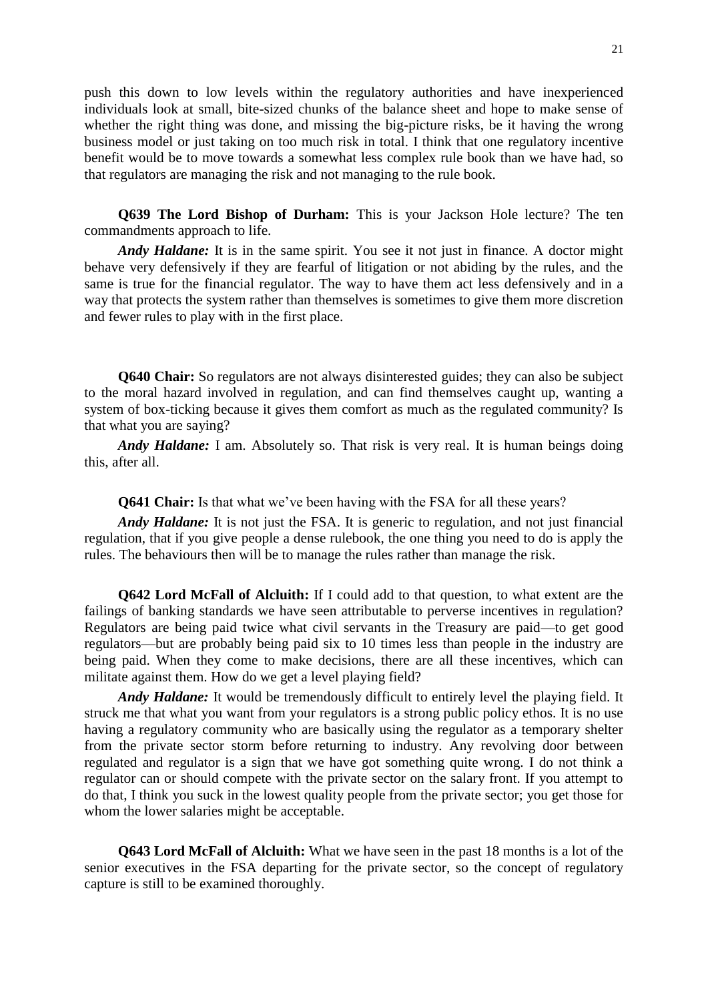push this down to low levels within the regulatory authorities and have inexperienced individuals look at small, bite-sized chunks of the balance sheet and hope to make sense of whether the right thing was done, and missing the big-picture risks, be it having the wrong business model or just taking on too much risk in total. I think that one regulatory incentive benefit would be to move towards a somewhat less complex rule book than we have had, so that regulators are managing the risk and not managing to the rule book.

**Q639 The Lord Bishop of Durham:** This is your Jackson Hole lecture? The ten commandments approach to life.

*Andy Haldane:* It is in the same spirit. You see it not just in finance. A doctor might behave very defensively if they are fearful of litigation or not abiding by the rules, and the same is true for the financial regulator. The way to have them act less defensively and in a way that protects the system rather than themselves is sometimes to give them more discretion and fewer rules to play with in the first place.

**Q640 Chair:** So regulators are not always disinterested guides; they can also be subject to the moral hazard involved in regulation, and can find themselves caught up, wanting a system of box-ticking because it gives them comfort as much as the regulated community? Is that what you are saying?

*Andy Haldane:* I am. Absolutely so. That risk is very real. It is human beings doing this, after all.

**Q641 Chair:** Is that what we've been having with the FSA for all these years?

*Andy Haldane:* It is not just the FSA. It is generic to regulation, and not just financial regulation, that if you give people a dense rulebook, the one thing you need to do is apply the rules. The behaviours then will be to manage the rules rather than manage the risk.

**Q642 Lord McFall of Alcluith:** If I could add to that question, to what extent are the failings of banking standards we have seen attributable to perverse incentives in regulation? Regulators are being paid twice what civil servants in the Treasury are paid—to get good regulators—but are probably being paid six to 10 times less than people in the industry are being paid. When they come to make decisions, there are all these incentives, which can militate against them. How do we get a level playing field?

*Andy Haldane:* It would be tremendously difficult to entirely level the playing field. It struck me that what you want from your regulators is a strong public policy ethos. It is no use having a regulatory community who are basically using the regulator as a temporary shelter from the private sector storm before returning to industry. Any revolving door between regulated and regulator is a sign that we have got something quite wrong. I do not think a regulator can or should compete with the private sector on the salary front. If you attempt to do that, I think you suck in the lowest quality people from the private sector; you get those for whom the lower salaries might be acceptable.

**Q643 Lord McFall of Alcluith:** What we have seen in the past 18 months is a lot of the senior executives in the FSA departing for the private sector, so the concept of regulatory capture is still to be examined thoroughly.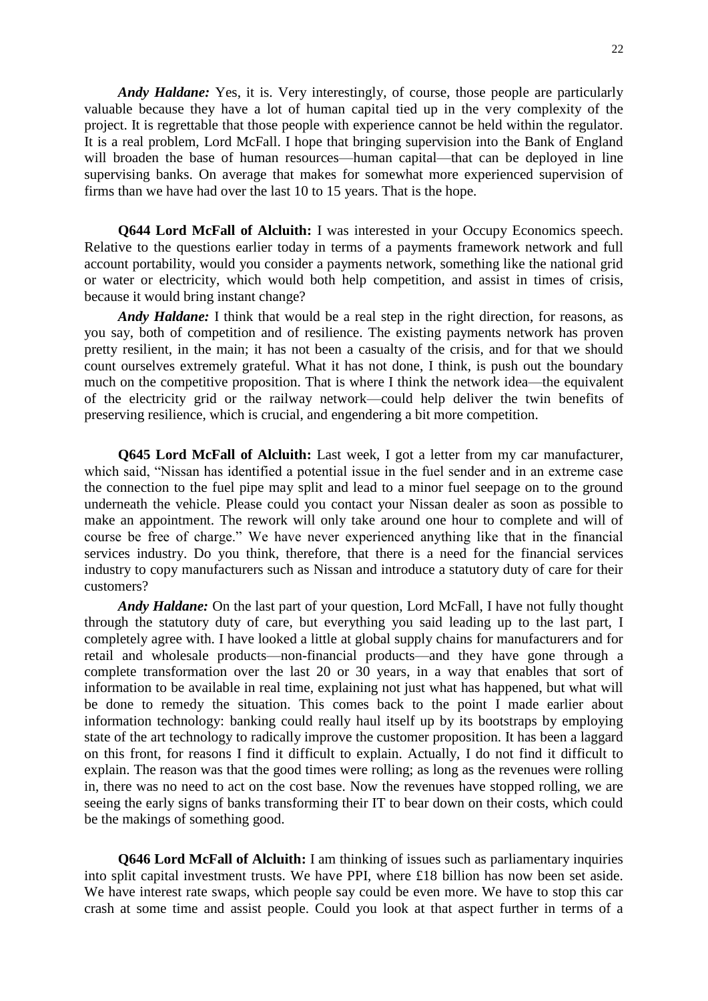*Andy Haldane:* Yes, it is. Very interestingly, of course, those people are particularly valuable because they have a lot of human capital tied up in the very complexity of the project. It is regrettable that those people with experience cannot be held within the regulator. It is a real problem, Lord McFall. I hope that bringing supervision into the Bank of England will broaden the base of human resources—human capital—that can be deployed in line supervising banks. On average that makes for somewhat more experienced supervision of firms than we have had over the last 10 to 15 years. That is the hope.

**Q644 Lord McFall of Alcluith:** I was interested in your Occupy Economics speech. Relative to the questions earlier today in terms of a payments framework network and full account portability, would you consider a payments network, something like the national grid or water or electricity, which would both help competition, and assist in times of crisis, because it would bring instant change?

*Andy Haldane:* I think that would be a real step in the right direction, for reasons, as you say, both of competition and of resilience. The existing payments network has proven pretty resilient, in the main; it has not been a casualty of the crisis, and for that we should count ourselves extremely grateful. What it has not done, I think, is push out the boundary much on the competitive proposition. That is where I think the network idea—the equivalent of the electricity grid or the railway network—could help deliver the twin benefits of preserving resilience, which is crucial, and engendering a bit more competition.

**Q645 Lord McFall of Alcluith:** Last week, I got a letter from my car manufacturer, which said, "Nissan has identified a potential issue in the fuel sender and in an extreme case the connection to the fuel pipe may split and lead to a minor fuel seepage on to the ground underneath the vehicle. Please could you contact your Nissan dealer as soon as possible to make an appointment. The rework will only take around one hour to complete and will of course be free of charge." We have never experienced anything like that in the financial services industry. Do you think, therefore, that there is a need for the financial services industry to copy manufacturers such as Nissan and introduce a statutory duty of care for their customers?

*Andy Haldane:* On the last part of your question, Lord McFall, I have not fully thought through the statutory duty of care, but everything you said leading up to the last part, I completely agree with. I have looked a little at global supply chains for manufacturers and for retail and wholesale products—non-financial products—and they have gone through a complete transformation over the last 20 or 30 years, in a way that enables that sort of information to be available in real time, explaining not just what has happened, but what will be done to remedy the situation. This comes back to the point I made earlier about information technology: banking could really haul itself up by its bootstraps by employing state of the art technology to radically improve the customer proposition. It has been a laggard on this front, for reasons I find it difficult to explain. Actually, I do not find it difficult to explain. The reason was that the good times were rolling; as long as the revenues were rolling in, there was no need to act on the cost base. Now the revenues have stopped rolling, we are seeing the early signs of banks transforming their IT to bear down on their costs, which could be the makings of something good.

**Q646 Lord McFall of Alcluith:** I am thinking of issues such as parliamentary inquiries into split capital investment trusts. We have PPI, where £18 billion has now been set aside. We have interest rate swaps, which people say could be even more. We have to stop this car crash at some time and assist people. Could you look at that aspect further in terms of a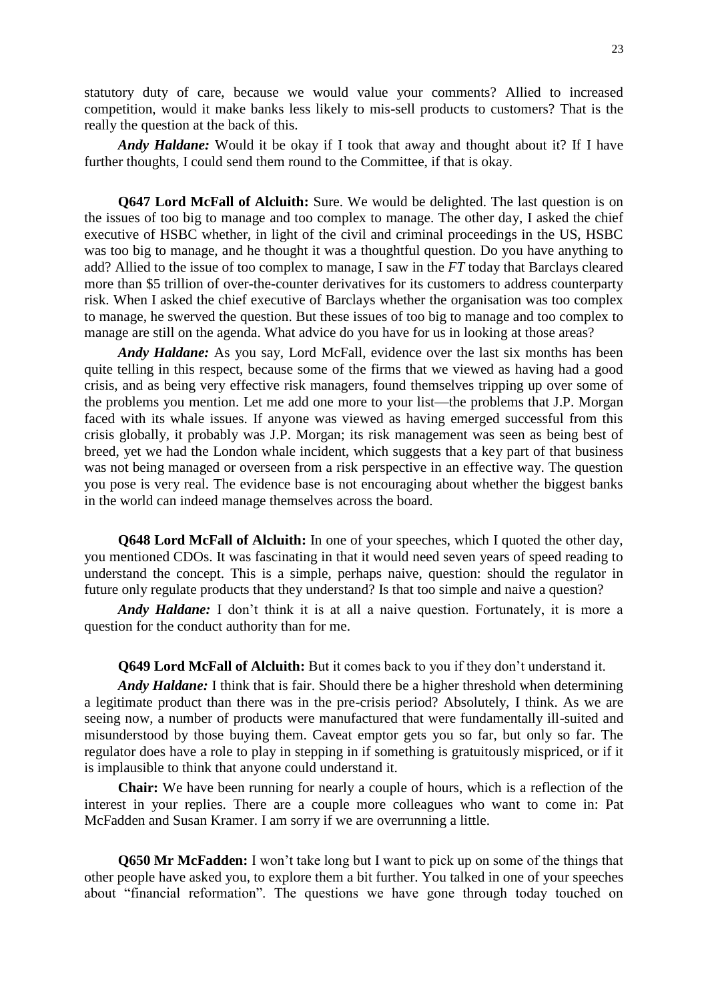statutory duty of care, because we would value your comments? Allied to increased competition, would it make banks less likely to mis-sell products to customers? That is the really the question at the back of this.

*Andy Haldane:* Would it be okay if I took that away and thought about it? If I have further thoughts, I could send them round to the Committee, if that is okay.

**Q647 Lord McFall of Alcluith:** Sure. We would be delighted. The last question is on the issues of too big to manage and too complex to manage. The other day, I asked the chief executive of HSBC whether, in light of the civil and criminal proceedings in the US, HSBC was too big to manage, and he thought it was a thoughtful question. Do you have anything to add? Allied to the issue of too complex to manage, I saw in the *FT* today that Barclays cleared more than \$5 trillion of over-the-counter derivatives for its customers to address counterparty risk. When I asked the chief executive of Barclays whether the organisation was too complex to manage, he swerved the question. But these issues of too big to manage and too complex to manage are still on the agenda. What advice do you have for us in looking at those areas?

*Andy Haldane:* As you say, Lord McFall, evidence over the last six months has been quite telling in this respect, because some of the firms that we viewed as having had a good crisis, and as being very effective risk managers, found themselves tripping up over some of the problems you mention. Let me add one more to your list—the problems that J.P. Morgan faced with its whale issues. If anyone was viewed as having emerged successful from this crisis globally, it probably was J.P. Morgan; its risk management was seen as being best of breed, yet we had the London whale incident, which suggests that a key part of that business was not being managed or overseen from a risk perspective in an effective way. The question you pose is very real. The evidence base is not encouraging about whether the biggest banks in the world can indeed manage themselves across the board.

**Q648 Lord McFall of Alcluith:** In one of your speeches, which I quoted the other day, you mentioned CDOs. It was fascinating in that it would need seven years of speed reading to understand the concept. This is a simple, perhaps naive, question: should the regulator in future only regulate products that they understand? Is that too simple and naive a question?

*Andy Haldane:* I don't think it is at all a naive question. Fortunately, it is more a question for the conduct authority than for me.

**Q649 Lord McFall of Alcluith:** But it comes back to you if they don't understand it.

*Andy Haldane:* I think that is fair. Should there be a higher threshold when determining a legitimate product than there was in the pre-crisis period? Absolutely, I think. As we are seeing now, a number of products were manufactured that were fundamentally ill-suited and misunderstood by those buying them. Caveat emptor gets you so far, but only so far. The regulator does have a role to play in stepping in if something is gratuitously mispriced, or if it is implausible to think that anyone could understand it.

**Chair:** We have been running for nearly a couple of hours, which is a reflection of the interest in your replies. There are a couple more colleagues who want to come in: Pat McFadden and Susan Kramer. I am sorry if we are overrunning a little.

**Q650 Mr McFadden:** I won't take long but I want to pick up on some of the things that other people have asked you, to explore them a bit further. You talked in one of your speeches about "financial reformation". The questions we have gone through today touched on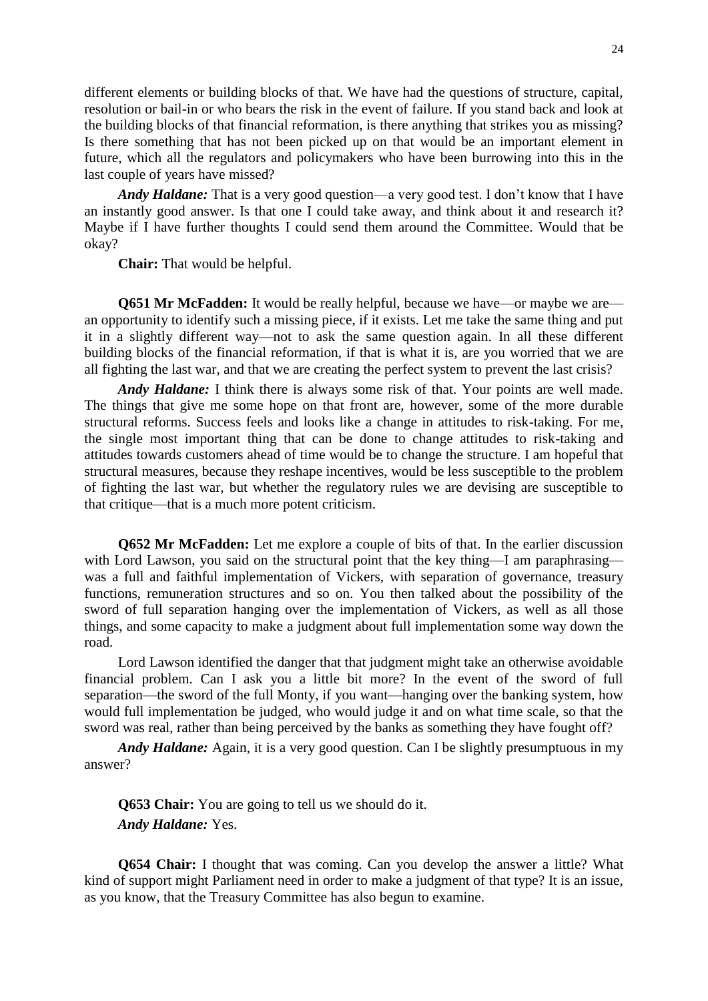different elements or building blocks of that. We have had the questions of structure, capital, resolution or bail-in or who bears the risk in the event of failure. If you stand back and look at the building blocks of that financial reformation, is there anything that strikes you as missing? Is there something that has not been picked up on that would be an important element in future, which all the regulators and policymakers who have been burrowing into this in the last couple of years have missed?

*Andy Haldane:* That is a very good question—a very good test. I don't know that I have an instantly good answer. Is that one I could take away, and think about it and research it? Maybe if I have further thoughts I could send them around the Committee. Would that be okay?

**Chair:** That would be helpful.

**Q651 Mr McFadden:** It would be really helpful, because we have—or maybe we are an opportunity to identify such a missing piece, if it exists. Let me take the same thing and put it in a slightly different way—not to ask the same question again. In all these different building blocks of the financial reformation, if that is what it is, are you worried that we are all fighting the last war, and that we are creating the perfect system to prevent the last crisis?

*Andy Haldane:* I think there is always some risk of that. Your points are well made. The things that give me some hope on that front are, however, some of the more durable structural reforms. Success feels and looks like a change in attitudes to risk-taking. For me, the single most important thing that can be done to change attitudes to risk-taking and attitudes towards customers ahead of time would be to change the structure. I am hopeful that structural measures, because they reshape incentives, would be less susceptible to the problem of fighting the last war, but whether the regulatory rules we are devising are susceptible to that critique—that is a much more potent criticism.

**Q652 Mr McFadden:** Let me explore a couple of bits of that. In the earlier discussion with Lord Lawson, you said on the structural point that the key thing—I am paraphrasing was a full and faithful implementation of Vickers, with separation of governance, treasury functions, remuneration structures and so on. You then talked about the possibility of the sword of full separation hanging over the implementation of Vickers, as well as all those things, and some capacity to make a judgment about full implementation some way down the road.

Lord Lawson identified the danger that that judgment might take an otherwise avoidable financial problem. Can I ask you a little bit more? In the event of the sword of full separation—the sword of the full Monty, if you want—hanging over the banking system, how would full implementation be judged, who would judge it and on what time scale, so that the sword was real, rather than being perceived by the banks as something they have fought off?

*Andy Haldane:* Again, it is a very good question. Can I be slightly presumptuous in my answer?

**Q653 Chair:** You are going to tell us we should do it. *Andy Haldane:* Yes.

**Q654 Chair:** I thought that was coming. Can you develop the answer a little? What kind of support might Parliament need in order to make a judgment of that type? It is an issue, as you know, that the Treasury Committee has also begun to examine.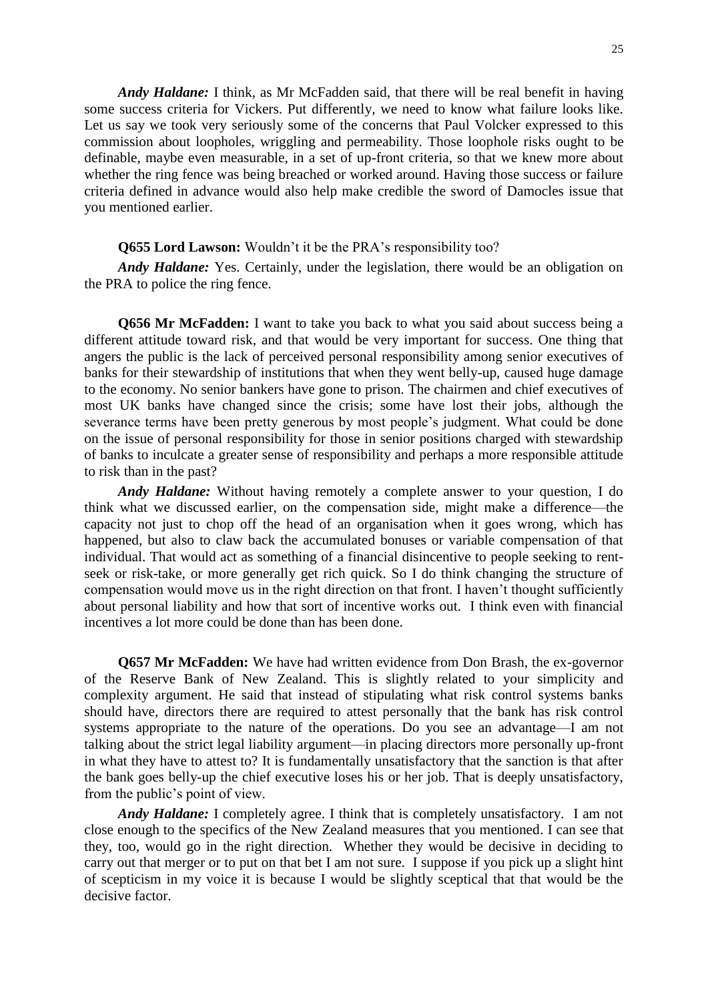*Andy Haldane:* I think, as Mr McFadden said, that there will be real benefit in having some success criteria for Vickers. Put differently, we need to know what failure looks like. Let us say we took very seriously some of the concerns that Paul Volcker expressed to this commission about loopholes, wriggling and permeability. Those loophole risks ought to be definable, maybe even measurable, in a set of up-front criteria, so that we knew more about whether the ring fence was being breached or worked around. Having those success or failure criteria defined in advance would also help make credible the sword of Damocles issue that you mentioned earlier.

### **Q655 Lord Lawson:** Wouldn't it be the PRA's responsibility too?

*Andy Haldane:* Yes. Certainly, under the legislation, there would be an obligation on the PRA to police the ring fence.

**Q656 Mr McFadden:** I want to take you back to what you said about success being a different attitude toward risk, and that would be very important for success. One thing that angers the public is the lack of perceived personal responsibility among senior executives of banks for their stewardship of institutions that when they went belly-up, caused huge damage to the economy. No senior bankers have gone to prison. The chairmen and chief executives of most UK banks have changed since the crisis; some have lost their jobs, although the severance terms have been pretty generous by most people's judgment. What could be done on the issue of personal responsibility for those in senior positions charged with stewardship of banks to inculcate a greater sense of responsibility and perhaps a more responsible attitude to risk than in the past?

*Andy Haldane:* Without having remotely a complete answer to your question, I do think what we discussed earlier, on the compensation side, might make a difference—the capacity not just to chop off the head of an organisation when it goes wrong, which has happened, but also to claw back the accumulated bonuses or variable compensation of that individual. That would act as something of a financial disincentive to people seeking to rentseek or risk-take, or more generally get rich quick. So I do think changing the structure of compensation would move us in the right direction on that front. I haven't thought sufficiently about personal liability and how that sort of incentive works out. I think even with financial incentives a lot more could be done than has been done.

**Q657 Mr McFadden:** We have had written evidence from Don Brash, the ex-governor of the Reserve Bank of New Zealand. This is slightly related to your simplicity and complexity argument. He said that instead of stipulating what risk control systems banks should have, directors there are required to attest personally that the bank has risk control systems appropriate to the nature of the operations. Do you see an advantage—I am not talking about the strict legal liability argument—in placing directors more personally up-front in what they have to attest to? It is fundamentally unsatisfactory that the sanction is that after the bank goes belly-up the chief executive loses his or her job. That is deeply unsatisfactory, from the public's point of view.

*Andy Haldane:* I completely agree. I think that is completely unsatisfactory. I am not close enough to the specifics of the New Zealand measures that you mentioned. I can see that they, too, would go in the right direction. Whether they would be decisive in deciding to carry out that merger or to put on that bet I am not sure. I suppose if you pick up a slight hint of scepticism in my voice it is because I would be slightly sceptical that that would be the decisive factor.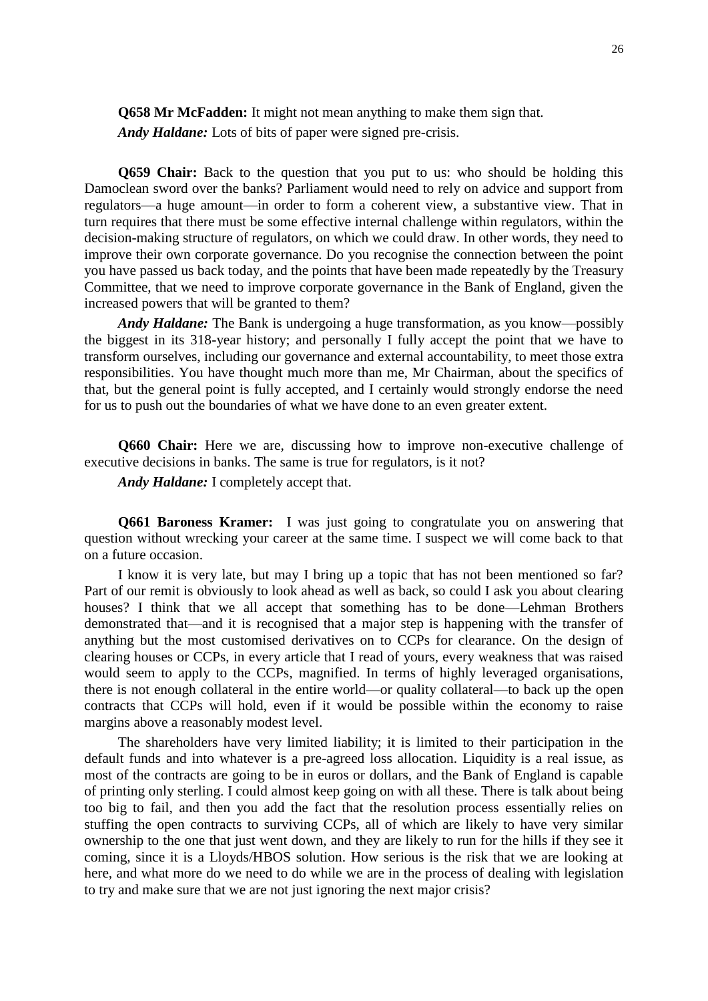**Q658 Mr McFadden:** It might not mean anything to make them sign that.

*Andy Haldane:* Lots of bits of paper were signed pre-crisis.

**Q659 Chair:** Back to the question that you put to us: who should be holding this Damoclean sword over the banks? Parliament would need to rely on advice and support from regulators—a huge amount—in order to form a coherent view, a substantive view. That in turn requires that there must be some effective internal challenge within regulators, within the decision-making structure of regulators, on which we could draw. In other words, they need to improve their own corporate governance. Do you recognise the connection between the point you have passed us back today, and the points that have been made repeatedly by the Treasury Committee, that we need to improve corporate governance in the Bank of England, given the increased powers that will be granted to them?

*Andy Haldane:* The Bank is undergoing a huge transformation, as you know—possibly the biggest in its 318-year history; and personally I fully accept the point that we have to transform ourselves, including our governance and external accountability, to meet those extra responsibilities. You have thought much more than me, Mr Chairman, about the specifics of that, but the general point is fully accepted, and I certainly would strongly endorse the need for us to push out the boundaries of what we have done to an even greater extent.

**Q660 Chair:** Here we are, discussing how to improve non-executive challenge of executive decisions in banks. The same is true for regulators, is it not?

*Andy Haldane:* I completely accept that.

**Q661 Baroness Kramer:** I was just going to congratulate you on answering that question without wrecking your career at the same time. I suspect we will come back to that on a future occasion.

I know it is very late, but may I bring up a topic that has not been mentioned so far? Part of our remit is obviously to look ahead as well as back, so could I ask you about clearing houses? I think that we all accept that something has to be done—Lehman Brothers demonstrated that—and it is recognised that a major step is happening with the transfer of anything but the most customised derivatives on to CCPs for clearance. On the design of clearing houses or CCPs, in every article that I read of yours, every weakness that was raised would seem to apply to the CCPs, magnified. In terms of highly leveraged organisations, there is not enough collateral in the entire world—or quality collateral—to back up the open contracts that CCPs will hold, even if it would be possible within the economy to raise margins above a reasonably modest level.

The shareholders have very limited liability; it is limited to their participation in the default funds and into whatever is a pre-agreed loss allocation. Liquidity is a real issue, as most of the contracts are going to be in euros or dollars, and the Bank of England is capable of printing only sterling. I could almost keep going on with all these. There is talk about being too big to fail, and then you add the fact that the resolution process essentially relies on stuffing the open contracts to surviving CCPs, all of which are likely to have very similar ownership to the one that just went down, and they are likely to run for the hills if they see it coming, since it is a Lloyds/HBOS solution. How serious is the risk that we are looking at here, and what more do we need to do while we are in the process of dealing with legislation to try and make sure that we are not just ignoring the next major crisis?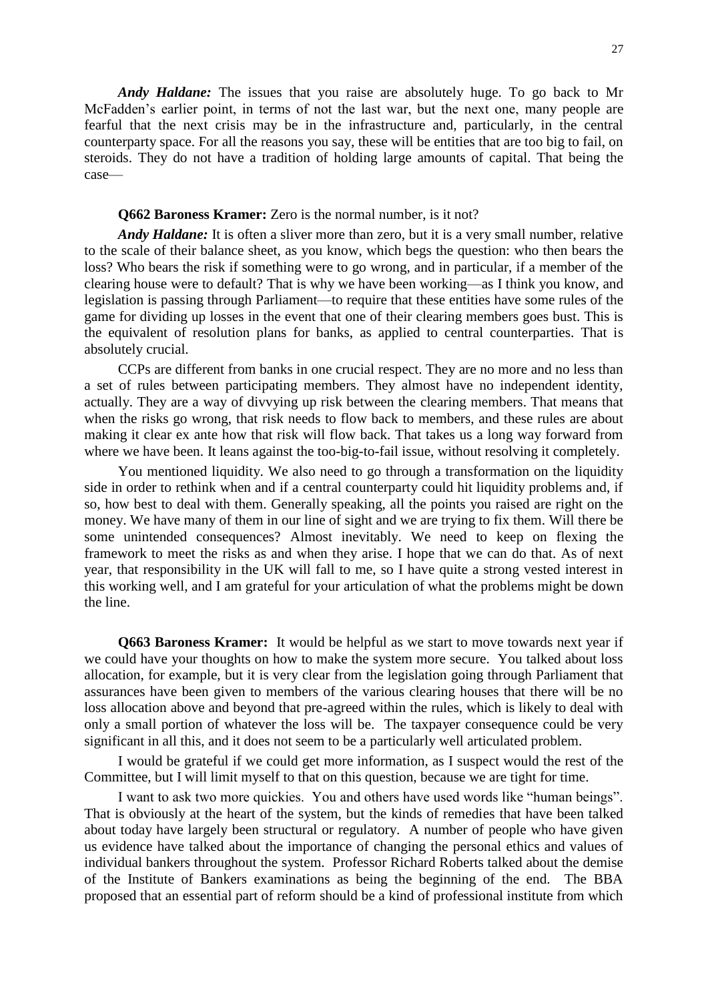*Andy Haldane:* The issues that you raise are absolutely huge. To go back to Mr McFadden's earlier point, in terms of not the last war, but the next one, many people are fearful that the next crisis may be in the infrastructure and, particularly, in the central counterparty space. For all the reasons you say, these will be entities that are too big to fail, on steroids. They do not have a tradition of holding large amounts of capital. That being the case—

### **Q662 Baroness Kramer:** Zero is the normal number, is it not?

*Andy Haldane:* It is often a sliver more than zero, but it is a very small number, relative to the scale of their balance sheet, as you know, which begs the question: who then bears the loss? Who bears the risk if something were to go wrong, and in particular, if a member of the clearing house were to default? That is why we have been working—as I think you know, and legislation is passing through Parliament—to require that these entities have some rules of the game for dividing up losses in the event that one of their clearing members goes bust. This is the equivalent of resolution plans for banks, as applied to central counterparties. That is absolutely crucial.

CCPs are different from banks in one crucial respect. They are no more and no less than a set of rules between participating members. They almost have no independent identity, actually. They are a way of divvying up risk between the clearing members. That means that when the risks go wrong, that risk needs to flow back to members, and these rules are about making it clear ex ante how that risk will flow back. That takes us a long way forward from where we have been. It leans against the too-big-to-fail issue, without resolving it completely.

You mentioned liquidity. We also need to go through a transformation on the liquidity side in order to rethink when and if a central counterparty could hit liquidity problems and, if so, how best to deal with them. Generally speaking, all the points you raised are right on the money. We have many of them in our line of sight and we are trying to fix them. Will there be some unintended consequences? Almost inevitably. We need to keep on flexing the framework to meet the risks as and when they arise. I hope that we can do that. As of next year, that responsibility in the UK will fall to me, so I have quite a strong vested interest in this working well, and I am grateful for your articulation of what the problems might be down the line.

**Q663 Baroness Kramer:** It would be helpful as we start to move towards next year if we could have your thoughts on how to make the system more secure. You talked about loss allocation, for example, but it is very clear from the legislation going through Parliament that assurances have been given to members of the various clearing houses that there will be no loss allocation above and beyond that pre-agreed within the rules, which is likely to deal with only a small portion of whatever the loss will be. The taxpayer consequence could be very significant in all this, and it does not seem to be a particularly well articulated problem.

I would be grateful if we could get more information, as I suspect would the rest of the Committee, but I will limit myself to that on this question, because we are tight for time.

I want to ask two more quickies. You and others have used words like "human beings". That is obviously at the heart of the system, but the kinds of remedies that have been talked about today have largely been structural or regulatory. A number of people who have given us evidence have talked about the importance of changing the personal ethics and values of individual bankers throughout the system. Professor Richard Roberts talked about the demise of the Institute of Bankers examinations as being the beginning of the end. The BBA proposed that an essential part of reform should be a kind of professional institute from which